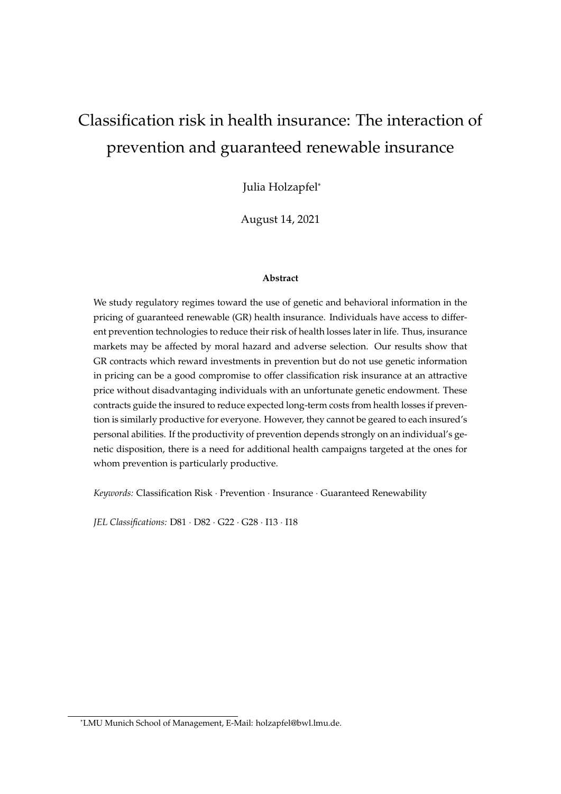# Classification risk in health insurance: The interaction of prevention and guaranteed renewable insurance

Julia Holzapfel\*

August 14, 2021

#### **Abstract**

We study regulatory regimes toward the use of genetic and behavioral information in the pricing of guaranteed renewable (GR) health insurance. Individuals have access to different prevention technologies to reduce their risk of health losses later in life. Thus, insurance markets may be affected by moral hazard and adverse selection. Our results show that GR contracts which reward investments in prevention but do not use genetic information in pricing can be a good compromise to offer classification risk insurance at an attractive price without disadvantaging individuals with an unfortunate genetic endowment. These contracts guide the insured to reduce expected long-term costs from health losses if prevention is similarly productive for everyone. However, they cannot be geared to each insured's personal abilities. If the productivity of prevention depends strongly on an individual's genetic disposition, there is a need for additional health campaigns targeted at the ones for whom prevention is particularly productive.

*Keywords:* Classification Risk · Prevention · Insurance · Guaranteed Renewability

*JEL Classifications:* D81 · D82 · G22 · G28 · I13 · I18

<sup>\*</sup>LMU Munich School of Management, E-Mail: holzapfel@bwl.lmu.de.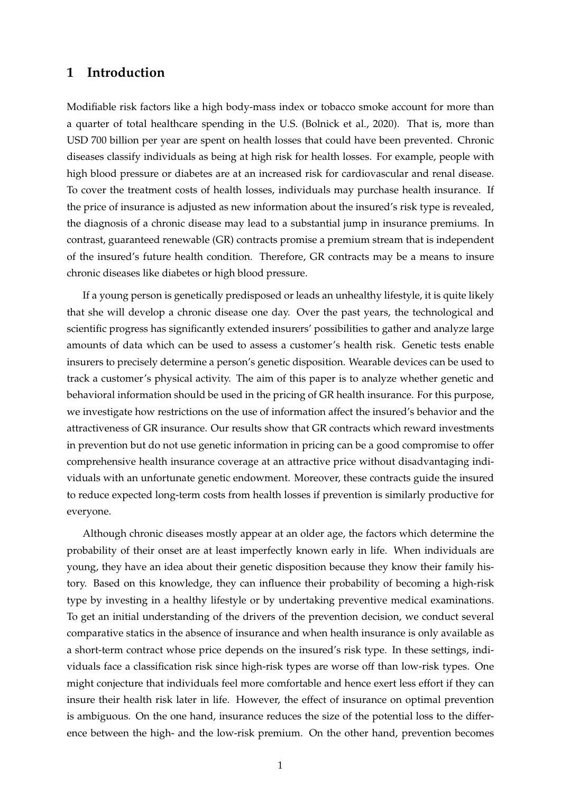# **1 Introduction**

Modifiable risk factors like a high body-mass index or tobacco smoke account for more than a quarter of total healthcare spending in the U.S. [\(Bolnick et al.,](#page-44-0) [2020\)](#page-44-0). That is, more than USD 700 billion per year are spent on health losses that could have been prevented. Chronic diseases classify individuals as being at high risk for health losses. For example, people with high blood pressure or diabetes are at an increased risk for cardiovascular and renal disease. To cover the treatment costs of health losses, individuals may purchase health insurance. If the price of insurance is adjusted as new information about the insured's risk type is revealed, the diagnosis of a chronic disease may lead to a substantial jump in insurance premiums. In contrast, guaranteed renewable (GR) contracts promise a premium stream that is independent of the insured's future health condition. Therefore, GR contracts may be a means to insure chronic diseases like diabetes or high blood pressure.

If a young person is genetically predisposed or leads an unhealthy lifestyle, it is quite likely that she will develop a chronic disease one day. Over the past years, the technological and scientific progress has significantly extended insurers' possibilities to gather and analyze large amounts of data which can be used to assess a customer's health risk. Genetic tests enable insurers to precisely determine a person's genetic disposition. Wearable devices can be used to track a customer's physical activity. The aim of this paper is to analyze whether genetic and behavioral information should be used in the pricing of GR health insurance. For this purpose, we investigate how restrictions on the use of information affect the insured's behavior and the attractiveness of GR insurance. Our results show that GR contracts which reward investments in prevention but do not use genetic information in pricing can be a good compromise to offer comprehensive health insurance coverage at an attractive price without disadvantaging individuals with an unfortunate genetic endowment. Moreover, these contracts guide the insured to reduce expected long-term costs from health losses if prevention is similarly productive for everyone.

Although chronic diseases mostly appear at an older age, the factors which determine the probability of their onset are at least imperfectly known early in life. When individuals are young, they have an idea about their genetic disposition because they know their family history. Based on this knowledge, they can influence their probability of becoming a high-risk type by investing in a healthy lifestyle or by undertaking preventive medical examinations. To get an initial understanding of the drivers of the prevention decision, we conduct several comparative statics in the absence of insurance and when health insurance is only available as a short-term contract whose price depends on the insured's risk type. In these settings, individuals face a classification risk since high-risk types are worse off than low-risk types. One might conjecture that individuals feel more comfortable and hence exert less effort if they can insure their health risk later in life. However, the effect of insurance on optimal prevention is ambiguous. On the one hand, insurance reduces the size of the potential loss to the difference between the high- and the low-risk premium. On the other hand, prevention becomes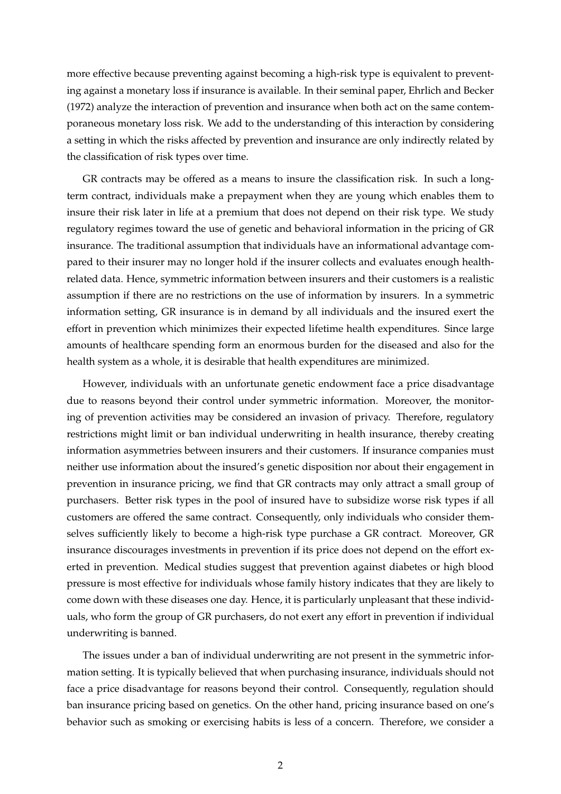more effective because preventing against becoming a high-risk type is equivalent to preventing against a monetary loss if insurance is available. In their seminal paper, [Ehrlich and Becker](#page-44-1) [\(1972\)](#page-44-1) analyze the interaction of prevention and insurance when both act on the same contemporaneous monetary loss risk. We add to the understanding of this interaction by considering a setting in which the risks affected by prevention and insurance are only indirectly related by the classification of risk types over time.

GR contracts may be offered as a means to insure the classification risk. In such a longterm contract, individuals make a prepayment when they are young which enables them to insure their risk later in life at a premium that does not depend on their risk type. We study regulatory regimes toward the use of genetic and behavioral information in the pricing of GR insurance. The traditional assumption that individuals have an informational advantage compared to their insurer may no longer hold if the insurer collects and evaluates enough healthrelated data. Hence, symmetric information between insurers and their customers is a realistic assumption if there are no restrictions on the use of information by insurers. In a symmetric information setting, GR insurance is in demand by all individuals and the insured exert the effort in prevention which minimizes their expected lifetime health expenditures. Since large amounts of healthcare spending form an enormous burden for the diseased and also for the health system as a whole, it is desirable that health expenditures are minimized.

However, individuals with an unfortunate genetic endowment face a price disadvantage due to reasons beyond their control under symmetric information. Moreover, the monitoring of prevention activities may be considered an invasion of privacy. Therefore, regulatory restrictions might limit or ban individual underwriting in health insurance, thereby creating information asymmetries between insurers and their customers. If insurance companies must neither use information about the insured's genetic disposition nor about their engagement in prevention in insurance pricing, we find that GR contracts may only attract a small group of purchasers. Better risk types in the pool of insured have to subsidize worse risk types if all customers are offered the same contract. Consequently, only individuals who consider themselves sufficiently likely to become a high-risk type purchase a GR contract. Moreover, GR insurance discourages investments in prevention if its price does not depend on the effort exerted in prevention. Medical studies suggest that prevention against diabetes or high blood pressure is most effective for individuals whose family history indicates that they are likely to come down with these diseases one day. Hence, it is particularly unpleasant that these individuals, who form the group of GR purchasers, do not exert any effort in prevention if individual underwriting is banned.

The issues under a ban of individual underwriting are not present in the symmetric information setting. It is typically believed that when purchasing insurance, individuals should not face a price disadvantage for reasons beyond their control. Consequently, regulation should ban insurance pricing based on genetics. On the other hand, pricing insurance based on one's behavior such as smoking or exercising habits is less of a concern. Therefore, we consider a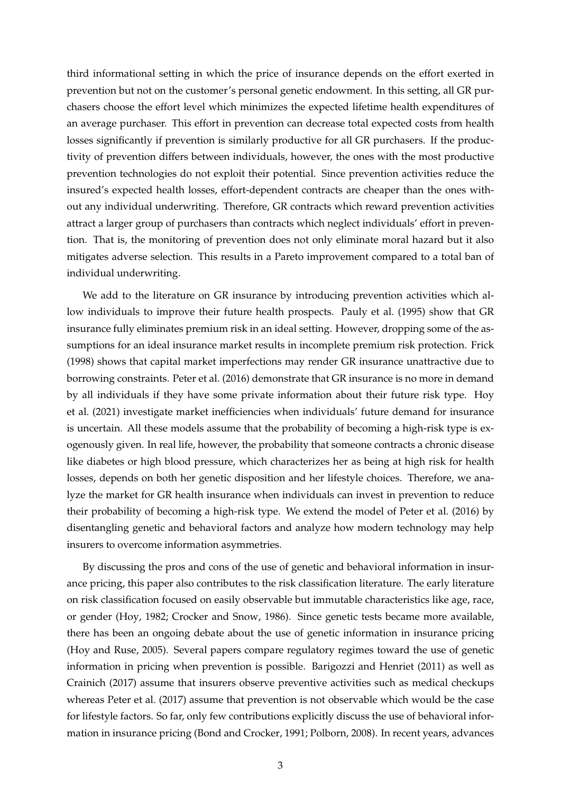third informational setting in which the price of insurance depends on the effort exerted in prevention but not on the customer's personal genetic endowment. In this setting, all GR purchasers choose the effort level which minimizes the expected lifetime health expenditures of an average purchaser. This effort in prevention can decrease total expected costs from health losses significantly if prevention is similarly productive for all GR purchasers. If the productivity of prevention differs between individuals, however, the ones with the most productive prevention technologies do not exploit their potential. Since prevention activities reduce the insured's expected health losses, effort-dependent contracts are cheaper than the ones without any individual underwriting. Therefore, GR contracts which reward prevention activities attract a larger group of purchasers than contracts which neglect individuals' effort in prevention. That is, the monitoring of prevention does not only eliminate moral hazard but it also mitigates adverse selection. This results in a Pareto improvement compared to a total ban of individual underwriting.

We add to the literature on GR insurance by introducing prevention activities which allow individuals to improve their future health prospects. [Pauly et al.](#page-44-2) [\(1995\)](#page-44-2) show that GR insurance fully eliminates premium risk in an ideal setting. However, dropping some of the assumptions for an ideal insurance market results in incomplete premium risk protection. [Frick](#page-44-3) [\(1998\)](#page-44-3) shows that capital market imperfections may render GR insurance unattractive due to borrowing constraints. [Peter et al.](#page-44-4) [\(2016\)](#page-44-4) demonstrate that GR insurance is no more in demand by all individuals if they have some private information about their future risk type. [Hoy](#page-44-5) [et al.](#page-44-5) [\(2021\)](#page-44-5) investigate market inefficiencies when individuals' future demand for insurance is uncertain. All these models assume that the probability of becoming a high-risk type is exogenously given. In real life, however, the probability that someone contracts a chronic disease like diabetes or high blood pressure, which characterizes her as being at high risk for health losses, depends on both her genetic disposition and her lifestyle choices. Therefore, we analyze the market for GR health insurance when individuals can invest in prevention to reduce their probability of becoming a high-risk type. We extend the model of [Peter et al.](#page-44-4) [\(2016\)](#page-44-4) by disentangling genetic and behavioral factors and analyze how modern technology may help insurers to overcome information asymmetries.

By discussing the pros and cons of the use of genetic and behavioral information in insurance pricing, this paper also contributes to the risk classification literature. The early literature on risk classification focused on easily observable but immutable characteristics like age, race, or gender [\(Hoy,](#page-44-6) [1982;](#page-44-6) [Crocker and Snow,](#page-44-7) [1986\)](#page-44-7). Since genetic tests became more available, there has been an ongoing debate about the use of genetic information in insurance pricing [\(Hoy and Ruse,](#page-44-8) [2005\)](#page-44-8). Several papers compare regulatory regimes toward the use of genetic information in pricing when prevention is possible. [Barigozzi and Henriet](#page-44-9) [\(2011\)](#page-44-9) as well as [Crainich](#page-44-10) [\(2017\)](#page-44-10) assume that insurers observe preventive activities such as medical checkups whereas [Peter et al.](#page-44-11) [\(2017\)](#page-44-11) assume that prevention is not observable which would be the case for lifestyle factors. So far, only few contributions explicitly discuss the use of behavioral information in insurance pricing [\(Bond and Crocker,](#page-44-12) [1991;](#page-44-12) [Polborn,](#page-44-13) [2008\)](#page-44-13). In recent years, advances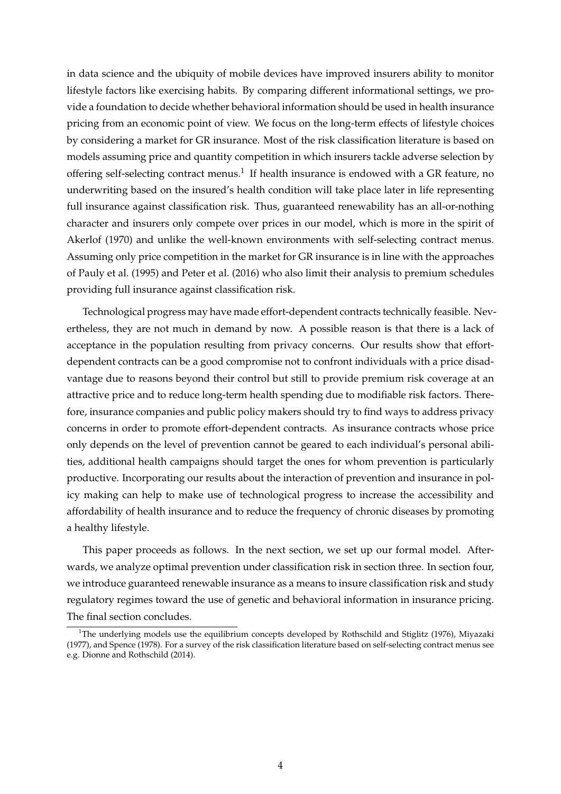in data science and the ubiquity of mobile devices have improved insurers ability to monitor lifestyle factors like exercising habits. By comparing different informational settings, we provide a foundation to decide whether behavioral information should be used in health insurance pricing from an economic point of view. We focus on the long-term effects of lifestyle choices by considering a market for GR insurance. Most of the risk classification literature is based on models assuming price and quantity competition in which insurers tackle adverse selection by offering self-selecting contract menus.<sup>[1](#page-4-0)</sup> If health insurance is endowed with a GR feature, no underwriting based on the insured's health condition will take place later in life representing full insurance against classification risk. Thus, guaranteed renewability has an all-or-nothing character and insurers only compete over prices in our model, which is more in the spirit of [Akerlof](#page-44-14) [\(1970\)](#page-44-14) and unlike the well-known environments with self-selecting contract menus. Assuming only price competition in the market for GR insurance is in line with the approaches of [Pauly et al.](#page-44-2) [\(1995\)](#page-44-2) and [Peter et al.](#page-44-4) [\(2016\)](#page-44-4) who also limit their analysis to premium schedules providing full insurance against classification risk.

Technological progress may have made effort-dependent contracts technically feasible. Nevertheless, they are not much in demand by now. A possible reason is that there is a lack of acceptance in the population resulting from privacy concerns. Our results show that effortdependent contracts can be a good compromise not to confront individuals with a price disadvantage due to reasons beyond their control but still to provide premium risk coverage at an attractive price and to reduce long-term health spending due to modifiable risk factors. Therefore, insurance companies and public policy makers should try to find ways to address privacy concerns in order to promote effort-dependent contracts. As insurance contracts whose price only depends on the level of prevention cannot be geared to each individual's personal abilities, additional health campaigns should target the ones for whom prevention is particularly productive. Incorporating our results about the interaction of prevention and insurance in policy making can help to make use of technological progress to increase the accessibility and affordability of health insurance and to reduce the frequency of chronic diseases by promoting a healthy lifestyle.

This paper proceeds as follows. In the next section, we set up our formal model. Afterwards, we analyze optimal prevention under classification risk in section three. In section four, we introduce guaranteed renewable insurance as a means to insure classification risk and study regulatory regimes toward the use of genetic and behavioral information in insurance pricing. The final section concludes.

<span id="page-4-0"></span><sup>&</sup>lt;sup>1</sup>The underlying models use the equilibrium concepts developed by [Rothschild and Stiglitz](#page-44-15) [\(1976\)](#page-44-15), [Miyazaki](#page-44-16) [\(1977\)](#page-44-16), and [Spence](#page-45-0) [\(1978\)](#page-45-0). For a survey of the risk classification literature based on self-selecting contract menus see e.g. [Dionne and Rothschild](#page-44-17) [\(2014\)](#page-44-17).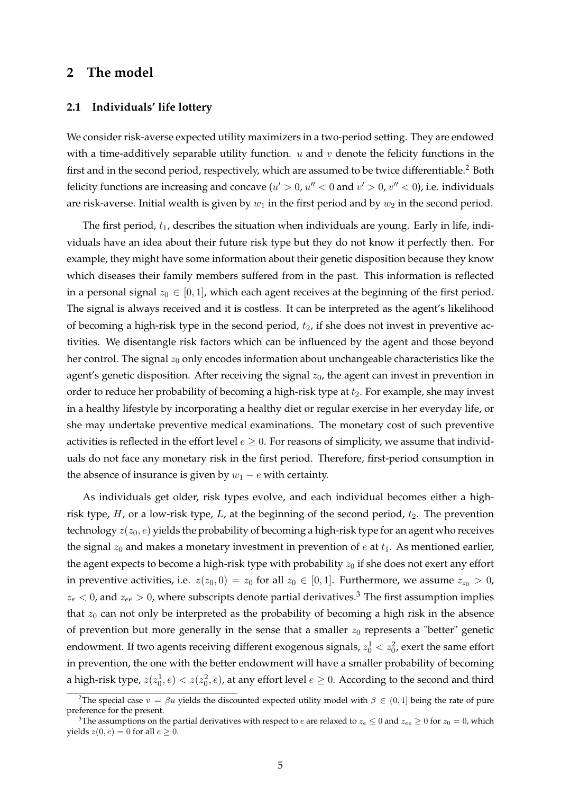# **2 The model**

# **2.1 Individuals' life lottery**

We consider risk-averse expected utility maximizers in a two-period setting. They are endowed with a time-additively separable utility function.  $u$  and  $v$  denote the felicity functions in the first and in the second period, respectively, which are assumed to be twice differentiable.<sup>[2](#page-5-0)</sup> Both felicity functions are increasing and concave ( $u' > 0$ ,  $u'' < 0$  and  $v' > 0$ ,  $v'' < 0$ ), i.e. individuals are risk-averse. Initial wealth is given by  $w_1$  in the first period and by  $w_2$  in the second period.

The first period,  $t_1$ , describes the situation when individuals are young. Early in life, individuals have an idea about their future risk type but they do not know it perfectly then. For example, they might have some information about their genetic disposition because they know which diseases their family members suffered from in the past. This information is reflected in a personal signal  $z_0 \in [0, 1]$ , which each agent receives at the beginning of the first period. The signal is always received and it is costless. It can be interpreted as the agent's likelihood of becoming a high-risk type in the second period,  $t<sub>2</sub>$ , if she does not invest in preventive activities. We disentangle risk factors which can be influenced by the agent and those beyond her control. The signal  $z_0$  only encodes information about unchangeable characteristics like the agent's genetic disposition. After receiving the signal  $z_0$ , the agent can invest in prevention in order to reduce her probability of becoming a high-risk type at  $t_2$ . For example, she may invest in a healthy lifestyle by incorporating a healthy diet or regular exercise in her everyday life, or she may undertake preventive medical examinations. The monetary cost of such preventive activities is reflected in the effort level  $e \geq 0$ . For reasons of simplicity, we assume that individuals do not face any monetary risk in the first period. Therefore, first-period consumption in the absence of insurance is given by  $w_1 - e$  with certainty.

As individuals get older, risk types evolve, and each individual becomes either a highrisk type,  $H$ , or a low-risk type,  $L$ , at the beginning of the second period,  $t_2$ . The prevention technology  $z(z_0, e)$  yields the probability of becoming a high-risk type for an agent who receives the signal  $z_0$  and makes a monetary investment in prevention of e at  $t_1$ . As mentioned earlier, the agent expects to become a high-risk type with probability  $z_0$  if she does not exert any effort in preventive activities, i.e.  $z(z_0, 0) = z_0$  for all  $z_0 \in [0, 1]$ . Furthermore, we assume  $z_{z_0} > 0$ ,  $z_e$  < 0, and  $z_{ee}$  > 0, where subscripts denote partial derivatives.<sup>[3](#page-5-1)</sup> The first assumption implies that  $z_0$  can not only be interpreted as the probability of becoming a high risk in the absence of prevention but more generally in the sense that a smaller  $z_0$  represents a "better" genetic endowment. If two agents receiving different exogenous signals,  $z_0^1 < z_0^2$ , exert the same effort in prevention, the one with the better endowment will have a smaller probability of becoming a high-risk type,  $z(z_0^1, e) < z(z_0^2, e)$ , at any effort level  $e \geq 0$ . According to the second and third

<span id="page-5-0"></span><sup>&</sup>lt;sup>2</sup>The special case  $v = \beta u$  yields the discounted expected utility model with  $\beta \in (0,1]$  being the rate of pure preference for the present.

<span id="page-5-1"></span><sup>&</sup>lt;sup>3</sup>The assumptions on the partial derivatives with respect to *e* are relaxed to  $z_e \le 0$  and  $z_{ee} \ge 0$  for  $z_0 = 0$ , which yields  $z(0, e) = 0$  for all  $e \ge 0$ .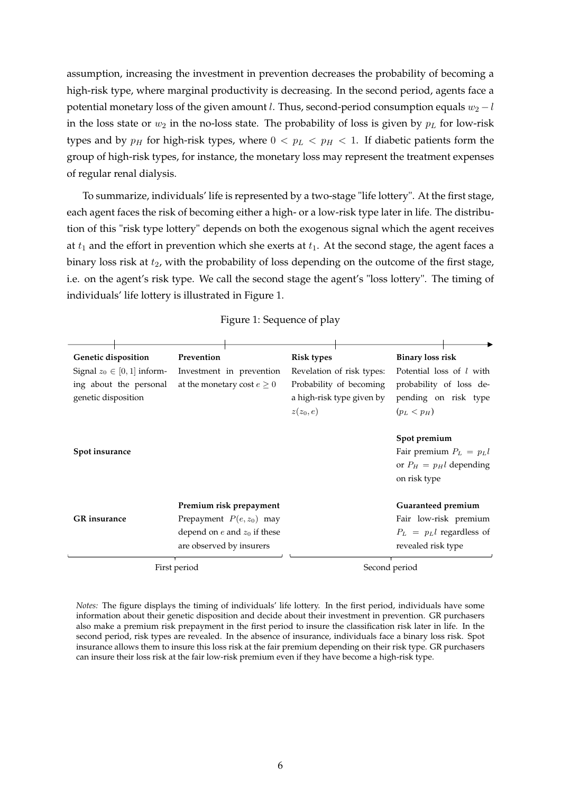assumption, increasing the investment in prevention decreases the probability of becoming a high-risk type, where marginal productivity is decreasing. In the second period, agents face a potential monetary loss of the given amount l. Thus, second-period consumption equals  $w_2 - l$ in the loss state or  $w_2$  in the no-loss state. The probability of loss is given by  $p_L$  for low-risk types and by  $p_H$  for high-risk types, where  $0 < p_L < p_H < 1$ . If diabetic patients form the group of high-risk types, for instance, the monetary loss may represent the treatment expenses of regular renal dialysis.

To summarize, individuals' life is represented by a two-stage "life lottery". At the first stage, each agent faces the risk of becoming either a high- or a low-risk type later in life. The distribution of this "risk type lottery" depends on both the exogenous signal which the agent receives at  $t_1$  and the effort in prevention which she exerts at  $t_1$ . At the second stage, the agent faces a binary loss risk at  $t_2$ , with the probability of loss depending on the outcome of the first stage, i.e. on the agent's risk type. We call the second stage the agent's "loss lottery". The timing of individuals' life lottery is illustrated in Figure [1.](#page-6-0)

<span id="page-6-0"></span>

| Genetic disposition            | Prevention                       | <b>Risk types</b>         | <b>Binary loss risk</b>     |
|--------------------------------|----------------------------------|---------------------------|-----------------------------|
| Signal $z_0 \in [0,1]$ inform- | Investment in prevention         | Revelation of risk types: | Potential loss of l with    |
| ing about the personal         | at the monetary cost $e \geq 0$  | Probability of becoming   | probability of loss de-     |
| genetic disposition            |                                  | a high-risk type given by | pending on risk type        |
|                                |                                  | $z(z_0,e)$                | $(p_L < p_H)$               |
|                                |                                  |                           |                             |
|                                |                                  |                           | Spot premium                |
| Spot insurance                 |                                  |                           | Fair premium $P_L = p_L l$  |
|                                |                                  |                           | or $P_H = p_H l$ depending  |
|                                |                                  |                           | on risk type                |
|                                |                                  |                           |                             |
|                                | Premium risk prepayment          |                           | Guaranteed premium          |
| <b>GR</b> insurance            | Prepayment $P(e, z_0)$ may       |                           | Fair low-risk premium       |
|                                | depend on $e$ and $z_0$ if these |                           | $P_L = p_L l$ regardless of |
|                                | are observed by insurers         |                           | revealed risk type          |
|                                |                                  |                           |                             |

#### Figure 1: Sequence of play

First period Second period

Notes: The figure displays the timing of individuals' life lottery. In the first period, individuals have some information about their genetic disposition and decide about their investment in prevention. GR purchasers also make a premium risk prepayment in the first period to insure the classification risk later in life. In the second period, risk types are revealed. In the absence of insurance, individuals face a binary loss risk. Spot insurance allows them to insure this loss risk at the fair premium depending on their risk type. GR purchasers can insure their loss risk at the fair low-risk premium even if they have become a high-risk type.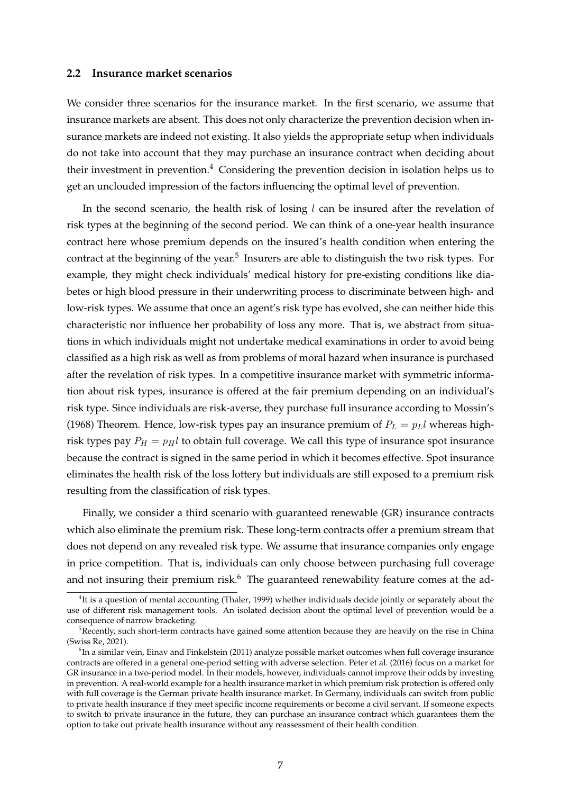## **2.2 Insurance market scenarios**

We consider three scenarios for the insurance market. In the first scenario, we assume that insurance markets are absent. This does not only characterize the prevention decision when insurance markets are indeed not existing. It also yields the appropriate setup when individuals do not take into account that they may purchase an insurance contract when deciding about their investment in prevention.<sup>[4](#page-7-0)</sup> Considering the prevention decision in isolation helps us to get an unclouded impression of the factors influencing the optimal level of prevention.

In the second scenario, the health risk of losing  $l$  can be insured after the revelation of risk types at the beginning of the second period. We can think of a one-year health insurance contract here whose premium depends on the insured's health condition when entering the contract at the beginning of the year.<sup>[5](#page-7-1)</sup> Insurers are able to distinguish the two risk types. For example, they might check individuals' medical history for pre-existing conditions like diabetes or high blood pressure in their underwriting process to discriminate between high- and low-risk types. We assume that once an agent's risk type has evolved, she can neither hide this characteristic nor influence her probability of loss any more. That is, we abstract from situations in which individuals might not undertake medical examinations in order to avoid being classified as a high risk as well as from problems of moral hazard when insurance is purchased after the revelation of risk types. In a competitive insurance market with symmetric information about risk types, insurance is offered at the fair premium depending on an individual's risk type. Since individuals are risk-averse, they purchase full insurance according to [Mossin'](#page-44-18)s [\(1968\)](#page-44-18) Theorem. Hence, low-risk types pay an insurance premium of  $P_L = p_L l$  whereas highrisk types pay  $P_H = p_H l$  to obtain full coverage. We call this type of insurance spot insurance because the contract is signed in the same period in which it becomes effective. Spot insurance eliminates the health risk of the loss lottery but individuals are still exposed to a premium risk resulting from the classification of risk types.

Finally, we consider a third scenario with guaranteed renewable (GR) insurance contracts which also eliminate the premium risk. These long-term contracts offer a premium stream that does not depend on any revealed risk type. We assume that insurance companies only engage in price competition. That is, individuals can only choose between purchasing full coverage and not insuring their premium risk. $6$  The guaranteed renewability feature comes at the ad-

<span id="page-7-0"></span><sup>&</sup>lt;sup>4</sup>It is a question of mental accounting [\(Thaler,](#page-45-1) [1999\)](#page-45-1) whether individuals decide jointly or separately about the use of different risk management tools. An isolated decision about the optimal level of prevention would be a consequence of narrow bracketing.

<span id="page-7-1"></span> $5R$ ecently, such short-term contracts have gained some attention because they are heavily on the rise in China [\(Swiss Re,](#page-45-2) [2021\)](#page-45-2).

<span id="page-7-2"></span><sup>&</sup>lt;sup>6</sup>In a similar vein, [Einav and Finkelstein](#page-44-19) [\(2011\)](#page-44-19) analyze possible market outcomes when full coverage insurance contracts are offered in a general one-period setting with adverse selection. [Peter et al.](#page-44-4) [\(2016\)](#page-44-4) focus on a market for GR insurance in a two-period model. In their models, however, individuals cannot improve their odds by investing in prevention. A real-world example for a health insurance market in which premium risk protection is offered only with full coverage is the German private health insurance market. In Germany, individuals can switch from public to private health insurance if they meet specific income requirements or become a civil servant. If someone expects to switch to private insurance in the future, they can purchase an insurance contract which guarantees them the option to take out private health insurance without any reassessment of their health condition.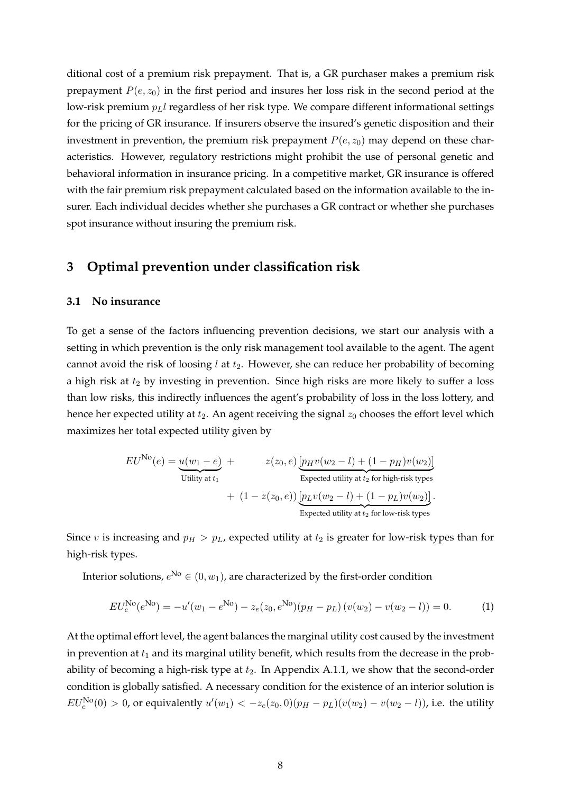ditional cost of a premium risk prepayment. That is, a GR purchaser makes a premium risk prepayment  $P(e, z_0)$  in the first period and insures her loss risk in the second period at the low-risk premium  $p_L$ l regardless of her risk type. We compare different informational settings for the pricing of GR insurance. If insurers observe the insured's genetic disposition and their investment in prevention, the premium risk prepayment  $P(e, z_0)$  may depend on these characteristics. However, regulatory restrictions might prohibit the use of personal genetic and behavioral information in insurance pricing. In a competitive market, GR insurance is offered with the fair premium risk prepayment calculated based on the information available to the insurer. Each individual decides whether she purchases a GR contract or whether she purchases spot insurance without insuring the premium risk.

# **3 Optimal prevention under classification risk**

#### **3.1 No insurance**

To get a sense of the factors influencing prevention decisions, we start our analysis with a setting in which prevention is the only risk management tool available to the agent. The agent cannot avoid the risk of loosing  $l$  at  $t_2$ . However, she can reduce her probability of becoming a high risk at  $t_2$  by investing in prevention. Since high risks are more likely to suffer a loss than low risks, this indirectly influences the agent's probability of loss in the loss lottery, and hence her expected utility at  $t_2$ . An agent receiving the signal  $z_0$  chooses the effort level which maximizes her total expected utility given by

$$
EU^{\text{No}}(e) = \underbrace{u(w_1 - e)}_{\text{Utility at } t_1} + \underbrace{z(z_0, e)}_{\text{Expected utility at } t_2 \text{ for high-risk types}} + (1 - z(z_0, e)) \underbrace{[p_H v(w_2 - l) + (1 - p_H)v(w_2)]}_{\text{Expected utility at } t_2 \text{ for low-risk types}}.
$$

Since v is increasing and  $p_H > p_L$ , expected utility at  $t_2$  is greater for low-risk types than for high-risk types.

Interior solutions,  $e^{\text{No}} \in (0, w_1)$ , are characterized by the first-order condition

<span id="page-8-0"></span>
$$
EU_e^{\text{No}}(e^{\text{No}}) = -u'(w_1 - e^{\text{No}}) - z_e(z_0, e^{\text{No}})(p_H - p_L)(v(w_2) - v(w_2 - l)) = 0.
$$
 (1)

At the optimal effort level, the agent balances the marginal utility cost caused by the investment in prevention at  $t_1$  and its marginal utility benefit, which results from the decrease in the probability of becoming a high-risk type at  $t_2$ . In Appendix [A.1.1,](#page-36-0) we show that the second-order condition is globally satisfied. A necessary condition for the existence of an interior solution is  $EU_e^{\text{No}}(0) > 0$ , or equivalently  $u'(w_1) < -z_e(z_0, 0)(p_H - p_L)(v(w_2) - v(w_2 - l))$ , i.e. the utility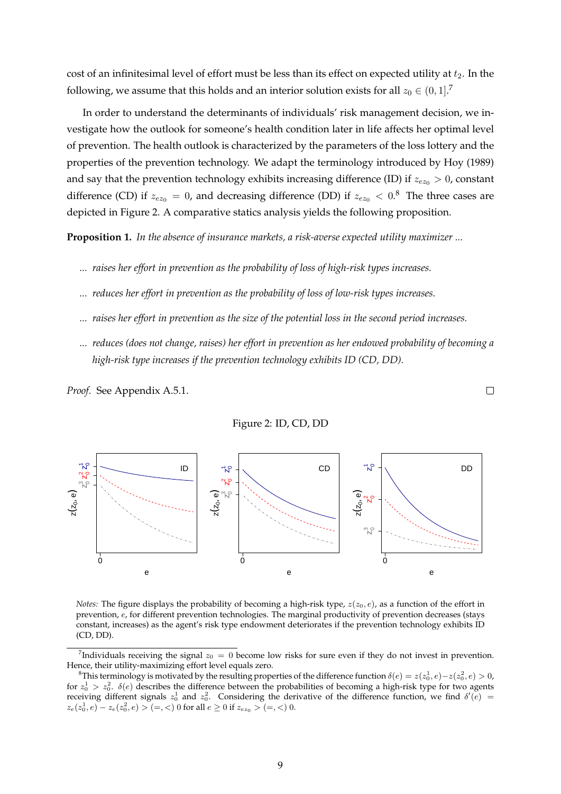cost of an infinitesimal level of effort must be less than its effect on expected utility at  $t_2$ . In the following, we assume that this holds and an interior solution exists for all  $z_0 \in (0,1]$ .<sup>[7](#page-9-0)</sup>

In order to understand the determinants of individuals' risk management decision, we investigate how the outlook for someone's health condition later in life affects her optimal level of prevention. The health outlook is characterized by the parameters of the loss lottery and the properties of the prevention technology. We adapt the terminology introduced by [Hoy](#page-44-20) [\(1989\)](#page-44-20) and say that the prevention technology exhibits increasing difference (ID) if  $z_{ez_0} > 0$ , constant difference (CD) if  $z_{ez_0} = 0$ , and decreasing difference (DD) if  $z_{ez_0} < 0.8$  $z_{ez_0} < 0.8$  The three cases are depicted in Figure [2.](#page-9-2) A comparative statics analysis yields the following proposition.

<span id="page-9-3"></span>**Proposition 1.** *In the absence of insurance markets, a risk-averse expected utility maximizer ...*

- *... raises her effort in prevention as the probability of loss of high-risk types increases.*
- *... reduces her effort in prevention as the probability of loss of low-risk types increases.*
- *... raises her effort in prevention as the size of the potential loss in the second period increases.*
- *... reduces (does not change, raises) her effort in prevention as her endowed probability of becoming a high-risk type increases if the prevention technology exhibits ID (CD, DD).*

 $\Box$ 

*Proof.* See Appendix [A.5.1.](#page-38-0)

<span id="page-9-2"></span>

Figure 2: ID, CD, DD

*Notes:* The figure displays the probability of becoming a high-risk type,  $z(z_0, e)$ , as a function of the effort in prevention, e, for different prevention technologies. The marginal productivity of prevention decreases (stays constant, increases) as the agent's risk type endowment deteriorates if the prevention technology exhibits ID (CD, DD).

<span id="page-9-0"></span><sup>&</sup>lt;sup>7</sup>Individuals receiving the signal  $z_0 = 0$  become low risks for sure even if they do not invest in prevention. Hence, their utility-maximizing effort level equals zero.

<span id="page-9-1"></span><sup>&</sup>lt;sup>8</sup>This terminology is motivated by the resulting properties of the difference function  $\delta(e) = z(z_0^1, e) - z(z_0^2, e) > 0$ , for  $z_0^1 > z_0^2$ .  $\delta(e)$  describes the difference between the probabilities of becoming a high-risk type for two agents receiving different signals  $z_0^1$  and  $z_0^2$ . Considering the derivative of the difference function, we find  $\delta'(e)$  =  $z_e(z_0^1, e) - z_e(z_0^2, e) > (=, <) 0$  for all  $e \ge 0$  if  $z_{ez_0} > (=, <) 0$ .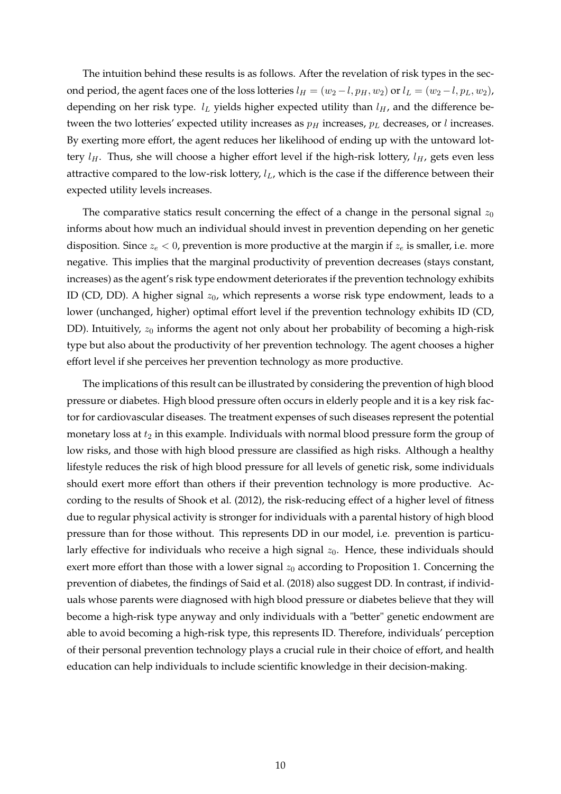The intuition behind these results is as follows. After the revelation of risk types in the second period, the agent faces one of the loss lotteries  $l_H = (w_2 - l, p_H, w_2)$  or  $l_L = (w_2 - l, p_L, w_2)$ , depending on her risk type.  $l_L$  yields higher expected utility than  $l_H$ , and the difference between the two lotteries' expected utility increases as  $p<sub>H</sub>$  increases,  $p<sub>L</sub>$  decreases, or l increases. By exerting more effort, the agent reduces her likelihood of ending up with the untoward lottery  $l_H$ . Thus, she will choose a higher effort level if the high-risk lottery,  $l_H$ , gets even less attractive compared to the low-risk lottery,  $l_L$ , which is the case if the difference between their expected utility levels increases.

The comparative statics result concerning the effect of a change in the personal signal  $z_0$ informs about how much an individual should invest in prevention depending on her genetic disposition. Since  $z_e < 0$ , prevention is more productive at the margin if  $z_e$  is smaller, i.e. more negative. This implies that the marginal productivity of prevention decreases (stays constant, increases) as the agent's risk type endowment deteriorates if the prevention technology exhibits ID (CD, DD). A higher signal  $z_0$ , which represents a worse risk type endowment, leads to a lower (unchanged, higher) optimal effort level if the prevention technology exhibits ID (CD, DD). Intuitively,  $z_0$  informs the agent not only about her probability of becoming a high-risk type but also about the productivity of her prevention technology. The agent chooses a higher effort level if she perceives her prevention technology as more productive.

The implications of this result can be illustrated by considering the prevention of high blood pressure or diabetes. High blood pressure often occurs in elderly people and it is a key risk factor for cardiovascular diseases. The treatment expenses of such diseases represent the potential monetary loss at  $t_2$  in this example. Individuals with normal blood pressure form the group of low risks, and those with high blood pressure are classified as high risks. Although a healthy lifestyle reduces the risk of high blood pressure for all levels of genetic risk, some individuals should exert more effort than others if their prevention technology is more productive. According to the results of [Shook et al.](#page-45-3) [\(2012\)](#page-45-3), the risk-reducing effect of a higher level of fitness due to regular physical activity is stronger for individuals with a parental history of high blood pressure than for those without. This represents DD in our model, i.e. prevention is particularly effective for individuals who receive a high signal  $z_0$ . Hence, these individuals should exert more effort than those with a lower signal  $z_0$  according to Proposition [1.](#page-9-3) Concerning the prevention of diabetes, the findings of [Said et al.](#page-44-21) [\(2018\)](#page-44-21) also suggest DD. In contrast, if individuals whose parents were diagnosed with high blood pressure or diabetes believe that they will become a high-risk type anyway and only individuals with a "better" genetic endowment are able to avoid becoming a high-risk type, this represents ID. Therefore, individuals' perception of their personal prevention technology plays a crucial rule in their choice of effort, and health education can help individuals to include scientific knowledge in their decision-making.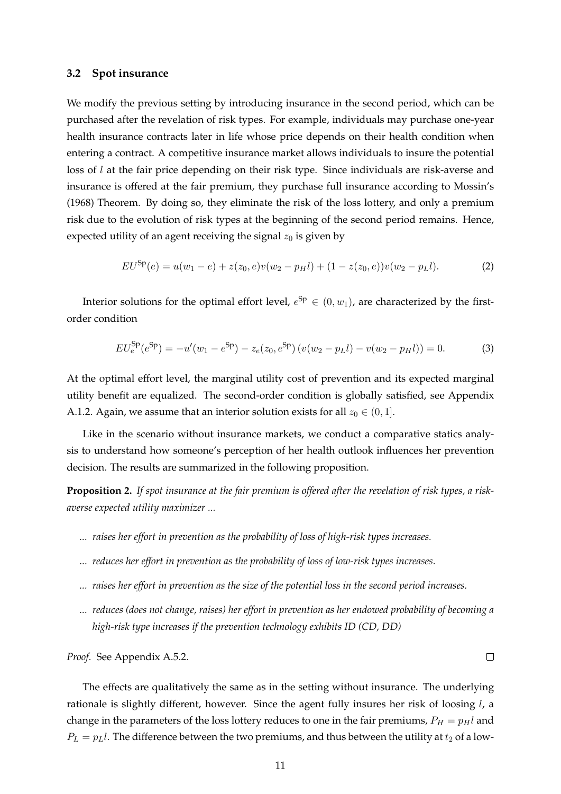# **3.2 Spot insurance**

We modify the previous setting by introducing insurance in the second period, which can be purchased after the revelation of risk types. For example, individuals may purchase one-year health insurance contracts later in life whose price depends on their health condition when entering a contract. A competitive insurance market allows individuals to insure the potential loss of l at the fair price depending on their risk type. Since individuals are risk-averse and insurance is offered at the fair premium, they purchase full insurance according to [Mossin'](#page-44-18)s [\(1968\)](#page-44-18) Theorem. By doing so, they eliminate the risk of the loss lottery, and only a premium risk due to the evolution of risk types at the beginning of the second period remains. Hence, expected utility of an agent receiving the signal  $z_0$  is given by

$$
EU^{Sp}(e) = u(w_1 - e) + z(z_0, e)v(w_2 - p_Hl) + (1 - z(z_0, e))v(w_2 - p_Ll).
$$
 (2)

Interior solutions for the optimal effort level,  $e^{Sp} \in (0, w_1)$ , are characterized by the firstorder condition

<span id="page-11-1"></span>
$$
EU_e^{\text{Sp}}(e^{\text{Sp}}) = -u'(w_1 - e^{\text{Sp}}) - z_e(z_0, e^{\text{Sp}}) (v(w_2 - p_Ll) - v(w_2 - p_Hl)) = 0.
$$
 (3)

At the optimal effort level, the marginal utility cost of prevention and its expected marginal utility benefit are equalized. The second-order condition is globally satisfied, see Appendix [A.1.2.](#page-36-1) Again, we assume that an interior solution exists for all  $z_0 \in (0, 1]$ .

Like in the scenario without insurance markets, we conduct a comparative statics analysis to understand how someone's perception of her health outlook influences her prevention decision. The results are summarized in the following proposition.

<span id="page-11-0"></span>**Proposition 2.** *If spot insurance at the fair premium is offered after the revelation of risk types, a riskaverse expected utility maximizer ...*

- *... raises her effort in prevention as the probability of loss of high-risk types increases.*
- *... reduces her effort in prevention as the probability of loss of low-risk types increases.*
- *... raises her effort in prevention as the size of the potential loss in the second period increases.*
- *... reduces (does not change, raises) her effort in prevention as her endowed probability of becoming a high-risk type increases if the prevention technology exhibits ID (CD, DD)*

 $\Box$ 

*Proof.* See Appendix [A.5.2.](#page-39-0)

The effects are qualitatively the same as in the setting without insurance. The underlying rationale is slightly different, however. Since the agent fully insures her risk of loosing  $l$ , a change in the parameters of the loss lottery reduces to one in the fair premiums,  $P_H = p_H l$  and  $P_L = p_L l$ . The difference between the two premiums, and thus between the utility at  $t_2$  of a low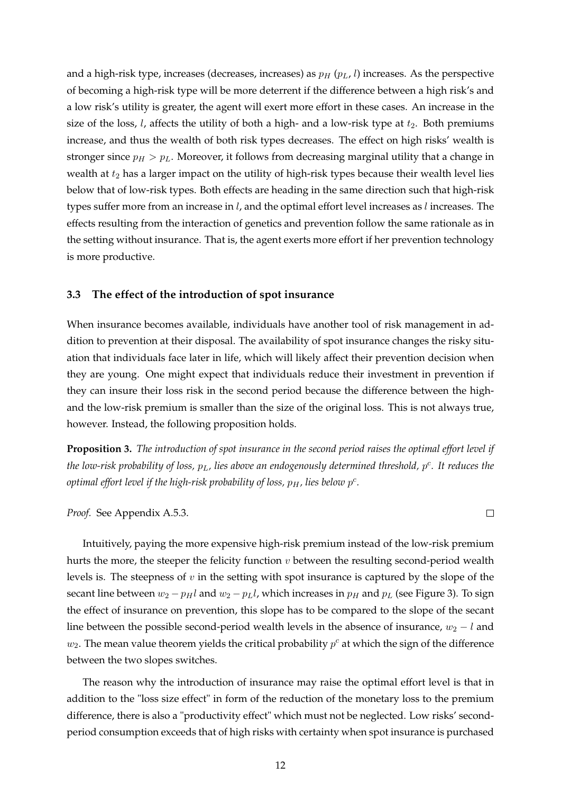and a high-risk type, increases (decreases, increases) as  $p_H$  ( $p_L$ , l) increases. As the perspective of becoming a high-risk type will be more deterrent if the difference between a high risk's and a low risk's utility is greater, the agent will exert more effort in these cases. An increase in the size of the loss, *l*, affects the utility of both a high- and a low-risk type at  $t_2$ . Both premiums increase, and thus the wealth of both risk types decreases. The effect on high risks' wealth is stronger since  $p_H > p_L$ . Moreover, it follows from decreasing marginal utility that a change in wealth at  $t_2$  has a larger impact on the utility of high-risk types because their wealth level lies below that of low-risk types. Both effects are heading in the same direction such that high-risk types suffer more from an increase in l, and the optimal effort level increases as l increases. The effects resulting from the interaction of genetics and prevention follow the same rationale as in the setting without insurance. That is, the agent exerts more effort if her prevention technology is more productive.

# **3.3 The effect of the introduction of spot insurance**

When insurance becomes available, individuals have another tool of risk management in addition to prevention at their disposal. The availability of spot insurance changes the risky situation that individuals face later in life, which will likely affect their prevention decision when they are young. One might expect that individuals reduce their investment in prevention if they can insure their loss risk in the second period because the difference between the highand the low-risk premium is smaller than the size of the original loss. This is not always true, however. Instead, the following proposition holds.

<span id="page-12-0"></span>**Proposition 3.** *The introduction of spot insurance in the second period raises the optimal effort level if* the low-risk probability of loss,  $p_L$ , lies above an endogenously determined threshold,  $p^c$ . It reduces the optimal effort level if the high-risk probability of loss,  $p_H$ , lies below  $p^c$ <mark>.</mark>

*Proof.* See Appendix [A.5.3.](#page-40-0)

 $\Box$ 

Intuitively, paying the more expensive high-risk premium instead of the low-risk premium hurts the more, the steeper the felicity function  $v$  between the resulting second-period wealth levels is. The steepness of  $v$  in the setting with spot insurance is captured by the slope of the secant line between  $w_2 - p_Hl$  and  $w_2 - p_Ll$ , which increases in  $p_H$  and  $p_L$  (see Figure [3\)](#page-13-0). To sign the effect of insurance on prevention, this slope has to be compared to the slope of the secant line between the possible second-period wealth levels in the absence of insurance,  $w_2 - l$  and  $w_2$ . The mean value theorem yields the critical probability  $p^c$  at which the sign of the difference between the two slopes switches.

The reason why the introduction of insurance may raise the optimal effort level is that in addition to the "loss size effect" in form of the reduction of the monetary loss to the premium difference, there is also a "productivity effect" which must not be neglected. Low risks' secondperiod consumption exceeds that of high risks with certainty when spot insurance is purchased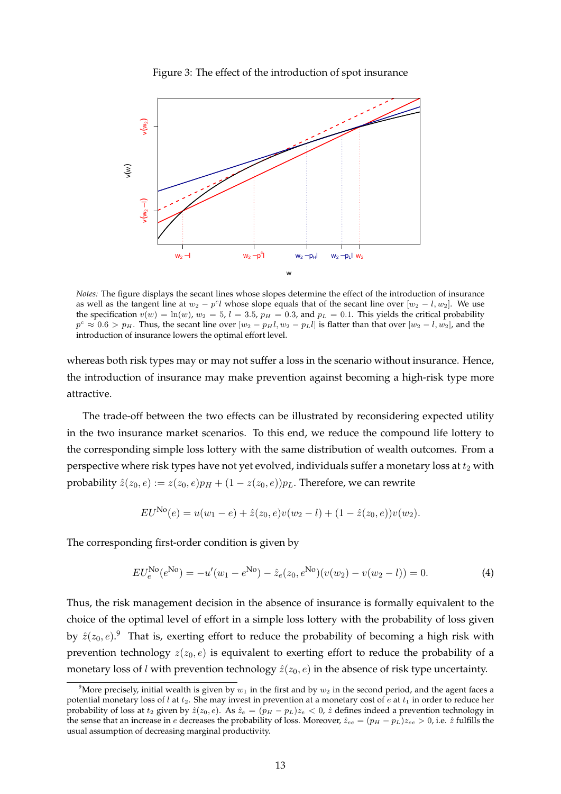

<span id="page-13-0"></span>

*Notes:* The figure displays the secant lines whose slopes determine the effect of the introduction of insurance as well as the tangent line at  $w_2 - p^c l$  whose slope equals that of the secant line over  $[w_2 - l, w_2]$ . We use the specification  $v(w) = \ln(w)$ ,  $w_2 = 5$ ,  $l = 3.5$ ,  $p_H = 0.3$ , and  $p_L = 0.1$ . This yields the critical probability  $p^c \approx 0.6 > p_H$ . Thus, the secant line over  $[w_2 - p_H l, w_2 - p_L l]$  is flatter than that over  $[w_2 - l, w_2]$ , and the introduction of insurance lowers the optimal effort level.

whereas both risk types may or may not suffer a loss in the scenario without insurance. Hence, the introduction of insurance may make prevention against becoming a high-risk type more attractive.

The trade-off between the two effects can be illustrated by reconsidering expected utility in the two insurance market scenarios. To this end, we reduce the compound life lottery to the corresponding simple loss lottery with the same distribution of wealth outcomes. From a perspective where risk types have not yet evolved, individuals suffer a monetary loss at  $t_2$  with probability  $\hat{z}(z_0, e) := z(z_0, e)p_H + (1 - z(z_0, e))p_L$ . Therefore, we can rewrite

$$
EU^{\text{No}}(e) = u(w_1 - e) + \hat{z}(z_0, e)v(w_2 - l) + (1 - \hat{z}(z_0, e))v(w_2).
$$

The corresponding first-order condition is given by

<span id="page-13-2"></span>
$$
EU_e^{\text{No}}(e^{\text{No}}) = -u'(w_1 - e^{\text{No}}) - \hat{z}_e(z_0, e^{\text{No}})(v(w_2) - v(w_2 - l)) = 0.
$$
 (4)

Thus, the risk management decision in the absence of insurance is formally equivalent to the choice of the optimal level of effort in a simple loss lottery with the probability of loss given by  $\hat{z}(z_0,e)$ . That is, exerting effort to reduce the probability of becoming a high risk with prevention technology  $z(z_0, e)$  is equivalent to exerting effort to reduce the probability of a monetary loss of l with prevention technology  $\hat{z}(z_0, e)$  in the absence of risk type uncertainty.

<span id="page-13-1"></span><sup>&</sup>lt;sup>9</sup>More precisely, initial wealth is given by  $w_1$  in the first and by  $w_2$  in the second period, and the agent faces a potential monetary loss of l at  $t_2$ . She may invest in prevention at a monetary cost of e at  $t_1$  in order to reduce her probability of loss at  $t_2$  given by  $\hat{z}(z_0, e)$ . As  $\hat{z}_e = (\hat{p}_H - p_L)z_e < 0$ ,  $\hat{z}$  defines indeed a prevention technology in the sense that an increase in e decreases the probability of loss. Moreover,  $\hat{z}_{ee} = (p_H - p_L)z_{ee} > 0$ , i.e.  $\hat{z}$  fulfills the usual assumption of decreasing marginal productivity.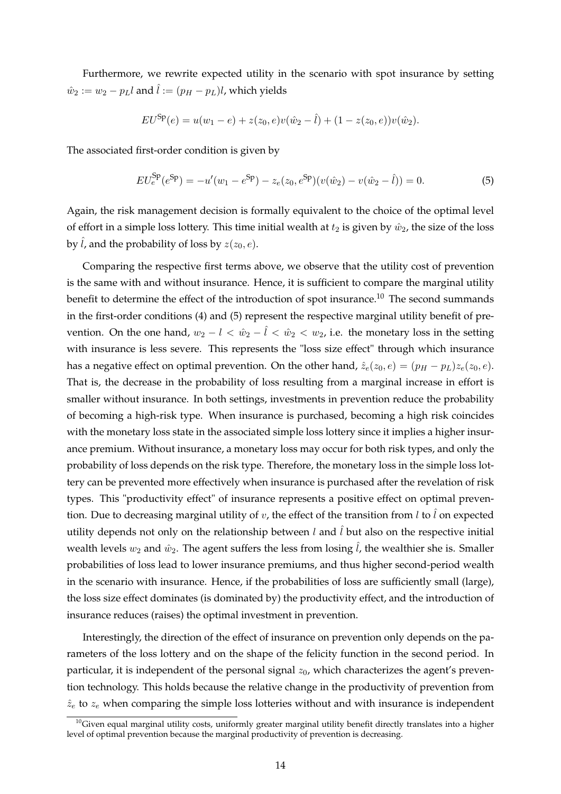Furthermore, we rewrite expected utility in the scenario with spot insurance by setting  $\hat{w}_2 := w_2 - p_L l$  and  $\hat{l} := (p_H - p_L)l$ , which yields

$$
EU^{\text{Sp}}(e) = u(w_1 - e) + z(z_0, e)v(\hat{w}_2 - \hat{l}) + (1 - z(z_0, e))v(\hat{w}_2).
$$

The associated first-order condition is given by

<span id="page-14-1"></span>
$$
EU_e^{\text{Sp}}(e^{\text{Sp}}) = -u'(w_1 - e^{\text{Sp}}) - z_e(z_0, e^{\text{Sp}})(v(\hat{w}_2) - v(\hat{w}_2 - \hat{l})) = 0.
$$
\n(5)

Again, the risk management decision is formally equivalent to the choice of the optimal level of effort in a simple loss lottery. This time initial wealth at  $t_2$  is given by  $\hat{w}_2$ , the size of the loss by  $\hat{l}$ , and the probability of loss by  $z(z_0, e)$ .

Comparing the respective first terms above, we observe that the utility cost of prevention is the same with and without insurance. Hence, it is sufficient to compare the marginal utility benefit to determine the effect of the introduction of spot insurance.[10](#page-14-0) The second summands in the first-order conditions [\(4\)](#page-13-2) and [\(5\)](#page-14-1) represent the respective marginal utility benefit of prevention. On the one hand,  $w_2 - l < \hat{w}_2 - \hat{l} < \hat{w}_2 < w_2$ , i.e. the monetary loss in the setting with insurance is less severe. This represents the "loss size effect" through which insurance has a negative effect on optimal prevention. On the other hand,  $\hat{z}_e(z_0, e) = (p_H - p_L)z_e(z_0, e)$ . That is, the decrease in the probability of loss resulting from a marginal increase in effort is smaller without insurance. In both settings, investments in prevention reduce the probability of becoming a high-risk type. When insurance is purchased, becoming a high risk coincides with the monetary loss state in the associated simple loss lottery since it implies a higher insurance premium. Without insurance, a monetary loss may occur for both risk types, and only the probability of loss depends on the risk type. Therefore, the monetary loss in the simple loss lottery can be prevented more effectively when insurance is purchased after the revelation of risk types. This "productivity effect" of insurance represents a positive effect on optimal prevention. Due to decreasing marginal utility of  $v$ , the effect of the transition from  $l$  to  $\hat{l}$  on expected utility depends not only on the relationship between l and  $\hat{l}$  but also on the respective initial wealth levels  $w_2$  and  $\hat{w}_2$ . The agent suffers the less from losing  $\hat{l}$ , the wealthier she is. Smaller probabilities of loss lead to lower insurance premiums, and thus higher second-period wealth in the scenario with insurance. Hence, if the probabilities of loss are sufficiently small (large), the loss size effect dominates (is dominated by) the productivity effect, and the introduction of insurance reduces (raises) the optimal investment in prevention.

Interestingly, the direction of the effect of insurance on prevention only depends on the parameters of the loss lottery and on the shape of the felicity function in the second period. In particular, it is independent of the personal signal  $z_0$ , which characterizes the agent's prevention technology. This holds because the relative change in the productivity of prevention from  $\hat{z}_e$  to  $z_e$  when comparing the simple loss lotteries without and with insurance is independent

<span id="page-14-0"></span> $10$ Given equal marginal utility costs, uniformly greater marginal utility benefit directly translates into a higher level of optimal prevention because the marginal productivity of prevention is decreasing.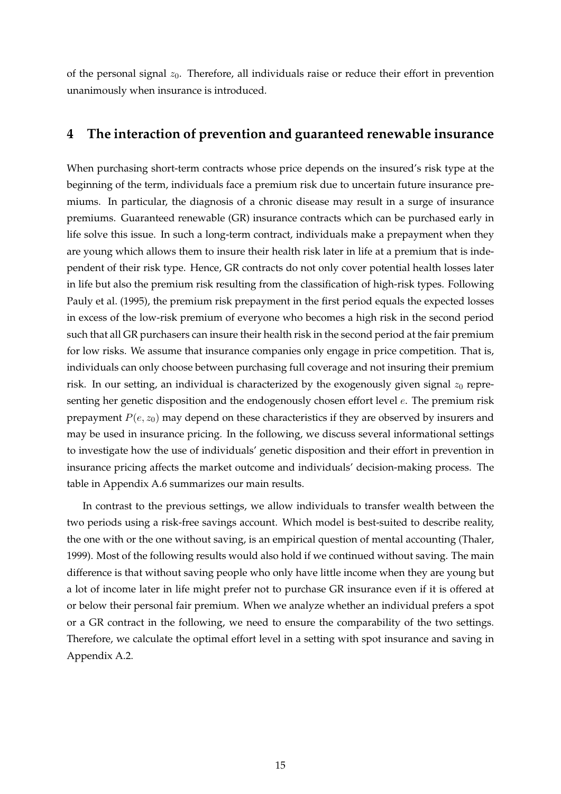of the personal signal  $z_0$ . Therefore, all individuals raise or reduce their effort in prevention unanimously when insurance is introduced.

# <span id="page-15-0"></span>**4 The interaction of prevention and guaranteed renewable insurance**

When purchasing short-term contracts whose price depends on the insured's risk type at the beginning of the term, individuals face a premium risk due to uncertain future insurance premiums. In particular, the diagnosis of a chronic disease may result in a surge of insurance premiums. Guaranteed renewable (GR) insurance contracts which can be purchased early in life solve this issue. In such a long-term contract, individuals make a prepayment when they are young which allows them to insure their health risk later in life at a premium that is independent of their risk type. Hence, GR contracts do not only cover potential health losses later in life but also the premium risk resulting from the classification of high-risk types. Following [Pauly et al.](#page-44-2) [\(1995\)](#page-44-2), the premium risk prepayment in the first period equals the expected losses in excess of the low-risk premium of everyone who becomes a high risk in the second period such that all GR purchasers can insure their health risk in the second period at the fair premium for low risks. We assume that insurance companies only engage in price competition. That is, individuals can only choose between purchasing full coverage and not insuring their premium risk. In our setting, an individual is characterized by the exogenously given signal  $z_0$  representing her genetic disposition and the endogenously chosen effort level  $e$ . The premium risk prepayment  $P(e, z_0)$  may depend on these characteristics if they are observed by insurers and may be used in insurance pricing. In the following, we discuss several informational settings to investigate how the use of individuals' genetic disposition and their effort in prevention in insurance pricing affects the market outcome and individuals' decision-making process. The table in Appendix [A.6](#page-42-0) summarizes our main results.

In contrast to the previous settings, we allow individuals to transfer wealth between the two periods using a risk-free savings account. Which model is best-suited to describe reality, the one with or the one without saving, is an empirical question of mental accounting [\(Thaler,](#page-45-1) [1999\)](#page-45-1). Most of the following results would also hold if we continued without saving. The main difference is that without saving people who only have little income when they are young but a lot of income later in life might prefer not to purchase GR insurance even if it is offered at or below their personal fair premium. When we analyze whether an individual prefers a spot or a GR contract in the following, we need to ensure the comparability of the two settings. Therefore, we calculate the optimal effort level in a setting with spot insurance and saving in Appendix [A.2.](#page-37-0)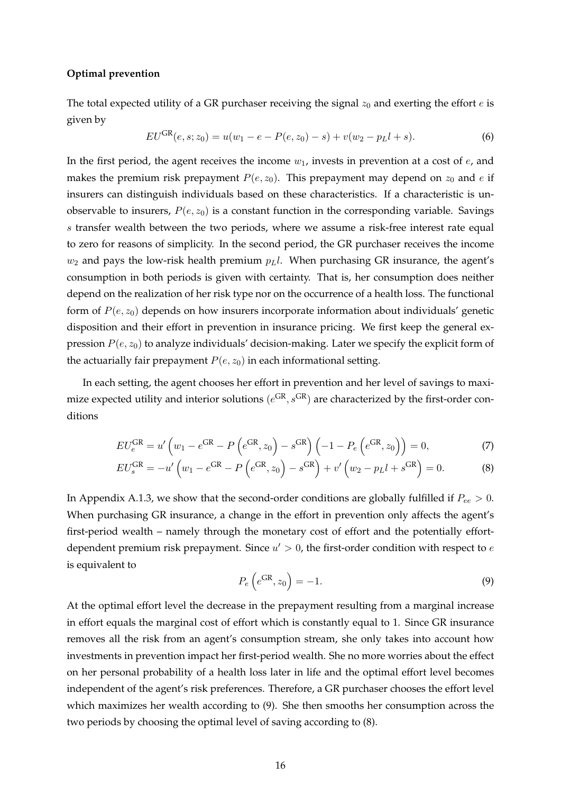#### **Optimal prevention**

The total expected utility of a GR purchaser receiving the signal  $z_0$  and exerting the effort  $e$  is given by

<span id="page-16-2"></span>
$$
EU^{GR}(e, s; z_0) = u(w_1 - e - P(e, z_0) - s) + v(w_2 - p_L l + s).
$$
\n(6)

In the first period, the agent receives the income  $w_1$ , invests in prevention at a cost of  $e$ , and makes the premium risk prepayment  $P(e, z_0)$ . This prepayment may depend on  $z_0$  and e if insurers can distinguish individuals based on these characteristics. If a characteristic is unobservable to insurers,  $P(e, z_0)$  is a constant function in the corresponding variable. Savings s transfer wealth between the two periods, where we assume a risk-free interest rate equal to zero for reasons of simplicity. In the second period, the GR purchaser receives the income  $w_2$  and pays the low-risk health premium  $p_L$ . When purchasing GR insurance, the agent's consumption in both periods is given with certainty. That is, her consumption does neither depend on the realization of her risk type nor on the occurrence of a health loss. The functional form of  $P(e, z_0)$  depends on how insurers incorporate information about individuals' genetic disposition and their effort in prevention in insurance pricing. We first keep the general expression  $P(e, z_0)$  to analyze individuals' decision-making. Later we specify the explicit form of the actuarially fair prepayment  $P(e, z_0)$  in each informational setting.

In each setting, the agent chooses her effort in prevention and her level of savings to maximize expected utility and interior solutions  $(e^{GR}, s^{GR})$  are characterized by the first-order conditions

$$
EU_e^{GR} = u' \left( w_1 - e^{GR} - P \left( e^{GR}, z_0 \right) - s^{GR} \right) \left( -1 - P_e \left( e^{GR}, z_0 \right) \right) = 0, \tag{7}
$$

$$
EU_s^{GR} = -u' \left( w_1 - e^{GR} - P \left( e^{GR}, z_0 \right) - s^{GR} \right) + v' \left( w_2 - p_L l + s^{GR} \right) = 0.
$$
 (8)

In Appendix [A.1.3,](#page-36-2) we show that the second-order conditions are globally fulfilled if  $P_{ee} > 0$ . When purchasing GR insurance, a change in the effort in prevention only affects the agent's first-period wealth – namely through the monetary cost of effort and the potentially effortdependent premium risk prepayment. Since  $u' > 0$ , the first-order condition with respect to e is equivalent to

<span id="page-16-1"></span><span id="page-16-0"></span>
$$
P_e\left(e^{GR}, z_0\right) = -1. \tag{9}
$$

At the optimal effort level the decrease in the prepayment resulting from a marginal increase in effort equals the marginal cost of effort which is constantly equal to 1. Since GR insurance removes all the risk from an agent's consumption stream, she only takes into account how investments in prevention impact her first-period wealth. She no more worries about the effect on her personal probability of a health loss later in life and the optimal effort level becomes independent of the agent's risk preferences. Therefore, a GR purchaser chooses the effort level which maximizes her wealth according to [\(9\)](#page-16-0). She then smooths her consumption across the two periods by choosing the optimal level of saving according to [\(8\)](#page-16-1).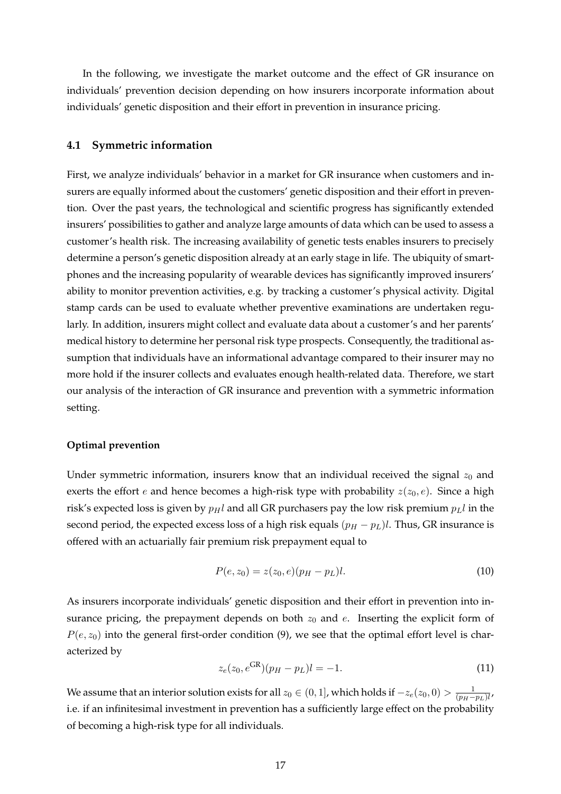In the following, we investigate the market outcome and the effect of GR insurance on individuals' prevention decision depending on how insurers incorporate information about individuals' genetic disposition and their effort in prevention in insurance pricing.

#### **4.1 Symmetric information**

First, we analyze individuals' behavior in a market for GR insurance when customers and insurers are equally informed about the customers' genetic disposition and their effort in prevention. Over the past years, the technological and scientific progress has significantly extended insurers' possibilities to gather and analyze large amounts of data which can be used to assess a customer's health risk. The increasing availability of genetic tests enables insurers to precisely determine a person's genetic disposition already at an early stage in life. The ubiquity of smartphones and the increasing popularity of wearable devices has significantly improved insurers' ability to monitor prevention activities, e.g. by tracking a customer's physical activity. Digital stamp cards can be used to evaluate whether preventive examinations are undertaken regularly. In addition, insurers might collect and evaluate data about a customer's and her parents' medical history to determine her personal risk type prospects. Consequently, the traditional assumption that individuals have an informational advantage compared to their insurer may no more hold if the insurer collects and evaluates enough health-related data. Therefore, we start our analysis of the interaction of GR insurance and prevention with a symmetric information setting.

# **Optimal prevention**

Under symmetric information, insurers know that an individual received the signal  $z_0$  and exerts the effort *e* and hence becomes a high-risk type with probability  $z(z_0, e)$ . Since a high risk's expected loss is given by  $p_Hl$  and all GR purchasers pay the low risk premium  $p_Ll$  in the second period, the expected excess loss of a high risk equals  $(p_H - p_L)l$ . Thus, GR insurance is offered with an actuarially fair premium risk prepayment equal to

$$
P(e, z_0) = z(z_0, e)(p_H - p_L)l.
$$
\n(10)

As insurers incorporate individuals' genetic disposition and their effort in prevention into insurance pricing, the prepayment depends on both  $z_0$  and  $e$ . Inserting the explicit form of  $P(e, z_0)$  into the general first-order condition [\(9\)](#page-16-0), we see that the optimal effort level is characterized by

<span id="page-17-0"></span>
$$
z_e(z_0, e^{GR})(p_H - p_L)l = -1.
$$
\n(11)

We assume that an interior solution exists for all  $z_0 \in (0,1]$ , which holds if  $-z_e(z_0,0) > \frac{1}{\sqrt{n_e}}$  $\frac{1}{(p_H-p_L)l}$ i.e. if an infinitesimal investment in prevention has a sufficiently large effect on the probability of becoming a high-risk type for all individuals.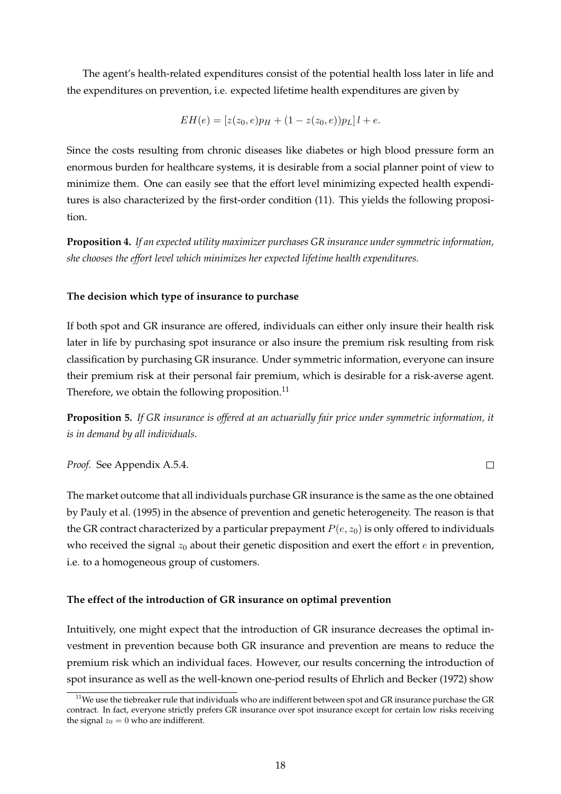The agent's health-related expenditures consist of the potential health loss later in life and the expenditures on prevention, i.e. expected lifetime health expenditures are given by

$$
EH(e) = [z(z0, e)pH + (1 - z(z0, e))pL]l + e.
$$

Since the costs resulting from chronic diseases like diabetes or high blood pressure form an enormous burden for healthcare systems, it is desirable from a social planner point of view to minimize them. One can easily see that the effort level minimizing expected health expenditures is also characterized by the first-order condition [\(11\)](#page-17-0). This yields the following proposition.

**Proposition 4.** *If an expected utility maximizer purchases GR insurance under symmetric information, she chooses the effort level which minimizes her expected lifetime health expenditures.*

# **The decision which type of insurance to purchase**

If both spot and GR insurance are offered, individuals can either only insure their health risk later in life by purchasing spot insurance or also insure the premium risk resulting from risk classification by purchasing GR insurance. Under symmetric information, everyone can insure their premium risk at their personal fair premium, which is desirable for a risk-averse agent. Therefore, we obtain the following proposition.<sup>[11](#page-18-0)</sup>

<span id="page-18-1"></span>**Proposition 5.** *If GR insurance is offered at an actuarially fair price under symmetric information, it is in demand by all individuals.*

*Proof.* See Appendix [A.5.4.](#page-40-1)

The market outcome that all individuals purchase GR insurance is the same as the one obtained by [Pauly et al.](#page-44-2) [\(1995\)](#page-44-2) in the absence of prevention and genetic heterogeneity. The reason is that the GR contract characterized by a particular prepayment  $P(e, z_0)$  is only offered to individuals who received the signal  $z_0$  about their genetic disposition and exert the effort  $e$  in prevention, i.e. to a homogeneous group of customers.

# **The effect of the introduction of GR insurance on optimal prevention**

Intuitively, one might expect that the introduction of GR insurance decreases the optimal investment in prevention because both GR insurance and prevention are means to reduce the premium risk which an individual faces. However, our results concerning the introduction of spot insurance as well as the well-known one-period results of [Ehrlich and Becker](#page-44-1) [\(1972\)](#page-44-1) show

 $\Box$ 

<span id="page-18-0"></span> $11$ We use the tiebreaker rule that individuals who are indifferent between spot and GR insurance purchase the GR contract. In fact, everyone strictly prefers GR insurance over spot insurance except for certain low risks receiving the signal  $z_0 = 0$  who are indifferent.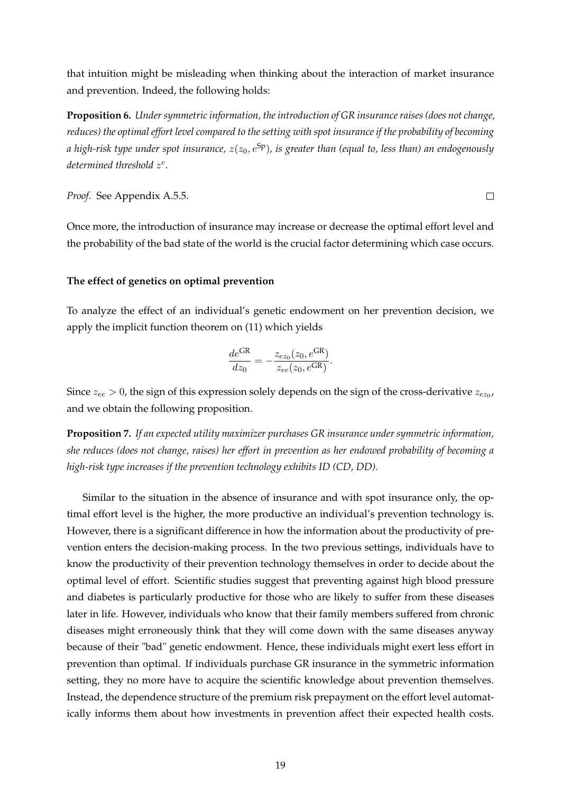that intuition might be misleading when thinking about the interaction of market insurance and prevention. Indeed, the following holds:

<span id="page-19-0"></span>**Proposition 6.** *Under symmetric information, the introduction of GR insurance raises (does not change, reduces) the optimal effort level compared to the setting with spot insurance if the probability of becoming a high-risk type under spot insurance,*  $z(z_0, e^{Sp})$ *, is greater than (equal to, less than) an endogenously determined threshold* z c *.*

*Proof.* See Appendix [A.5.5.](#page-41-0)

Once more, the introduction of insurance may increase or decrease the optimal effort level and the probability of the bad state of the world is the crucial factor determining which case occurs.

 $\Box$ 

## **The effect of genetics on optimal prevention**

To analyze the effect of an individual's genetic endowment on her prevention decision, we apply the implicit function theorem on [\(11\)](#page-17-0) which yields

$$
\frac{de^{GR}}{dz_0} = -\frac{z_{ez_0}(z_0, e^{GR})}{z_{ee}(z_0, e^{GR})}.
$$

Since  $z_{ee} > 0$ , the sign of this expression solely depends on the sign of the cross-derivative  $z_{ez_0}$ , and we obtain the following proposition.

**Proposition 7.** *If an expected utility maximizer purchases GR insurance under symmetric information, she reduces (does not change, raises) her effort in prevention as her endowed probability of becoming a high-risk type increases if the prevention technology exhibits ID (CD, DD).*

Similar to the situation in the absence of insurance and with spot insurance only, the optimal effort level is the higher, the more productive an individual's prevention technology is. However, there is a significant difference in how the information about the productivity of prevention enters the decision-making process. In the two previous settings, individuals have to know the productivity of their prevention technology themselves in order to decide about the optimal level of effort. Scientific studies suggest that preventing against high blood pressure and diabetes is particularly productive for those who are likely to suffer from these diseases later in life. However, individuals who know that their family members suffered from chronic diseases might erroneously think that they will come down with the same diseases anyway because of their "bad" genetic endowment. Hence, these individuals might exert less effort in prevention than optimal. If individuals purchase GR insurance in the symmetric information setting, they no more have to acquire the scientific knowledge about prevention themselves. Instead, the dependence structure of the premium risk prepayment on the effort level automatically informs them about how investments in prevention affect their expected health costs.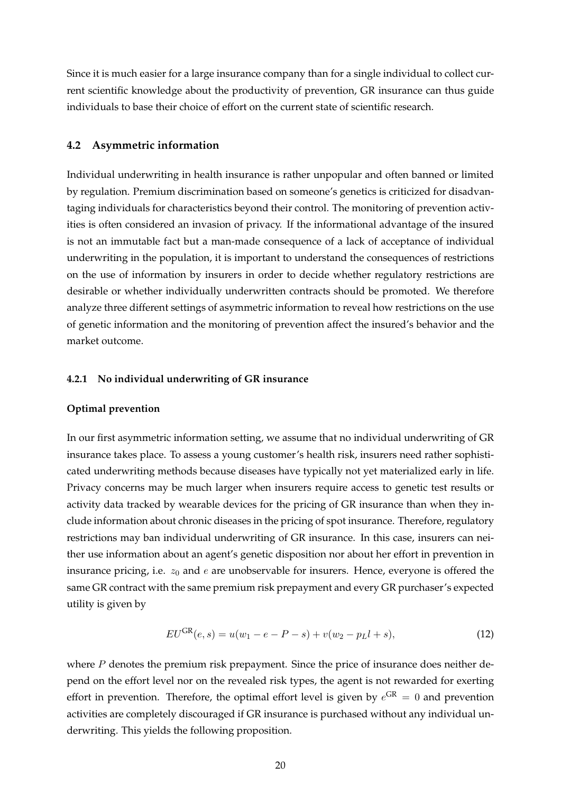Since it is much easier for a large insurance company than for a single individual to collect current scientific knowledge about the productivity of prevention, GR insurance can thus guide individuals to base their choice of effort on the current state of scientific research.

# **4.2 Asymmetric information**

Individual underwriting in health insurance is rather unpopular and often banned or limited by regulation. Premium discrimination based on someone's genetics is criticized for disadvantaging individuals for characteristics beyond their control. The monitoring of prevention activities is often considered an invasion of privacy. If the informational advantage of the insured is not an immutable fact but a man-made consequence of a lack of acceptance of individual underwriting in the population, it is important to understand the consequences of restrictions on the use of information by insurers in order to decide whether regulatory restrictions are desirable or whether individually underwritten contracts should be promoted. We therefore analyze three different settings of asymmetric information to reveal how restrictions on the use of genetic information and the monitoring of prevention affect the insured's behavior and the market outcome.

#### **4.2.1 No individual underwriting of GR insurance**

#### **Optimal prevention**

In our first asymmetric information setting, we assume that no individual underwriting of GR insurance takes place. To assess a young customer's health risk, insurers need rather sophisticated underwriting methods because diseases have typically not yet materialized early in life. Privacy concerns may be much larger when insurers require access to genetic test results or activity data tracked by wearable devices for the pricing of GR insurance than when they include information about chronic diseases in the pricing of spot insurance. Therefore, regulatory restrictions may ban individual underwriting of GR insurance. In this case, insurers can neither use information about an agent's genetic disposition nor about her effort in prevention in insurance pricing, i.e.  $z_0$  and  $e$  are unobservable for insurers. Hence, everyone is offered the same GR contract with the same premium risk prepayment and every GR purchaser's expected utility is given by

<span id="page-20-0"></span>
$$
EU^{GR}(e,s) = u(w_1 - e - P - s) + v(w_2 - p_L l + s), \tag{12}
$$

where  $P$  denotes the premium risk prepayment. Since the price of insurance does neither depend on the effort level nor on the revealed risk types, the agent is not rewarded for exerting effort in prevention. Therefore, the optimal effort level is given by  $e^{GR} = 0$  and prevention activities are completely discouraged if GR insurance is purchased without any individual underwriting. This yields the following proposition.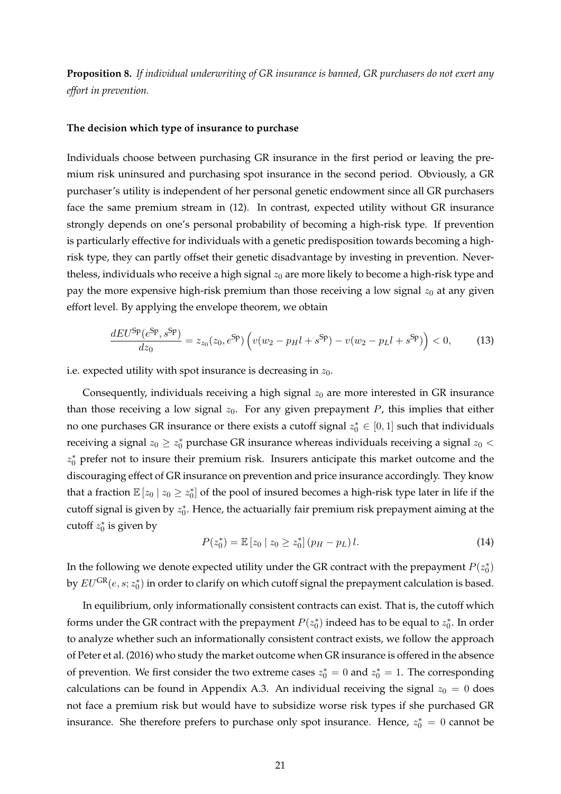**Proposition 8.** *If individual underwriting of GR insurance is banned, GR purchasers do not exert any effort in prevention.*

#### **The decision which type of insurance to purchase**

Individuals choose between purchasing GR insurance in the first period or leaving the premium risk uninsured and purchasing spot insurance in the second period. Obviously, a GR purchaser's utility is independent of her personal genetic endowment since all GR purchasers face the same premium stream in [\(12\)](#page-20-0). In contrast, expected utility without GR insurance strongly depends on one's personal probability of becoming a high-risk type. If prevention is particularly effective for individuals with a genetic predisposition towards becoming a highrisk type, they can partly offset their genetic disadvantage by investing in prevention. Nevertheless, individuals who receive a high signal  $z_0$  are more likely to become a high-risk type and pay the more expensive high-risk premium than those receiving a low signal  $z_0$  at any given effort level. By applying the envelope theorem, we obtain

<span id="page-21-0"></span>
$$
\frac{dE U^{\text{Sp}}(e^{\text{Sp}}, s^{\text{Sp}})}{dz_0} = z_{z_0}(z_0, e^{\text{Sp}}) \left( v(w_2 - p_H l + s^{\text{Sp}}) - v(w_2 - p_L l + s^{\text{Sp}}) \right) < 0,\tag{13}
$$

i.e. expected utility with spot insurance is decreasing in  $z_0$ .

Consequently, individuals receiving a high signal  $z_0$  are more interested in GR insurance than those receiving a low signal  $z_0$ . For any given prepayment P, this implies that either no one purchases GR insurance or there exists a cutoff signal  $z_0^* \in [0,1]$  such that individuals receiving a signal  $z_0 \geq z_0^*$  purchase GR insurance whereas individuals receiving a signal  $z_0$  <  $z_0^*$  prefer not to insure their premium risk. Insurers anticipate this market outcome and the discouraging effect of GR insurance on prevention and price insurance accordingly. They know that a fraction  $\mathbb{E}[z_0 | z_0 \geq z_0^*]$  of the pool of insured becomes a high-risk type later in life if the cutoff signal is given by  $z_0^*$ . Hence, the actuarially fair premium risk prepayment aiming at the cutoff  $z_0^*$  is given by

<span id="page-21-1"></span>
$$
P(z_0^*) = \mathbb{E}\left[z_0 \mid z_0 \ge z_0^*\right] (p_H - p_L) l. \tag{14}
$$

In the following we denote expected utility under the GR contract with the prepayment  $P(z_0^*)$ by  $EU^\text{GR}(e, s; z_0^*)$  in order to clarify on which cutoff signal the prepayment calculation is based.

In equilibrium, only informationally consistent contracts can exist. That is, the cutoff which forms under the GR contract with the prepayment  $P(z_0^*)$  indeed has to be equal to  $z_0^*$ . In order to analyze whether such an informationally consistent contract exists, we follow the approach of [Peter et al.](#page-44-4) [\(2016\)](#page-44-4) who study the market outcome when GR insurance is offered in the absence of prevention. We first consider the two extreme cases  $z_0^* = 0$  and  $z_0^* = 1$ . The corresponding calculations can be found in Appendix [A.3.](#page-37-1) An individual receiving the signal  $z_0 = 0$  does not face a premium risk but would have to subsidize worse risk types if she purchased GR insurance. She therefore prefers to purchase only spot insurance. Hence,  $z_0^* = 0$  cannot be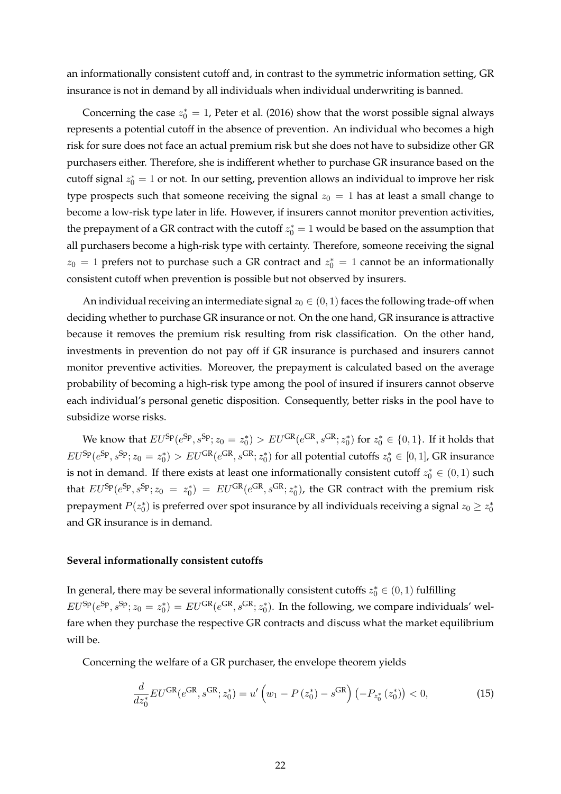an informationally consistent cutoff and, in contrast to the symmetric information setting, GR insurance is not in demand by all individuals when individual underwriting is banned.

Concerning the case  $z_0^* = 1$ , [Peter et al.](#page-44-4) [\(2016\)](#page-44-4) show that the worst possible signal always represents a potential cutoff in the absence of prevention. An individual who becomes a high risk for sure does not face an actual premium risk but she does not have to subsidize other GR purchasers either. Therefore, she is indifferent whether to purchase GR insurance based on the cutoff signal  $z_0^* = 1$  or not. In our setting, prevention allows an individual to improve her risk type prospects such that someone receiving the signal  $z_0 = 1$  has at least a small change to become a low-risk type later in life. However, if insurers cannot monitor prevention activities, the prepayment of a GR contract with the cutoff  $z_0^* = 1$  would be based on the assumption that all purchasers become a high-risk type with certainty. Therefore, someone receiving the signal  $z_0 = 1$  prefers not to purchase such a GR contract and  $z_0^* = 1$  cannot be an informationally consistent cutoff when prevention is possible but not observed by insurers.

An individual receiving an intermediate signal  $z_0 \in (0,1)$  faces the following trade-off when deciding whether to purchase GR insurance or not. On the one hand, GR insurance is attractive because it removes the premium risk resulting from risk classification. On the other hand, investments in prevention do not pay off if GR insurance is purchased and insurers cannot monitor preventive activities. Moreover, the prepayment is calculated based on the average probability of becoming a high-risk type among the pool of insured if insurers cannot observe each individual's personal genetic disposition. Consequently, better risks in the pool have to subsidize worse risks.

We know that  $EU^{\text{Sp}}(e^{\text{Sp}}, s^{\text{Sp}}; z_0 = z_0^*) > EU^{\text{GR}}(e^{\text{GR}}, s^{\text{GR}}; z_0^*)$  for  $z_0^* \in \{0,1\}$ . If it holds that  $EU^{\text{Sp}}(e^{\text{Sp}}, s^{\text{Sp}}; z_0 = z_0^*) > EU^{\text{GR}}(e^{\text{GR}}, s^{\text{GR}}; z_0^*)$  for all potential cutoffs  $z_0^* \in [0,1]$ , GR insurance is not in demand. If there exists at least one informationally consistent cutoff  $z_0^* \in (0,1)$  such that  $EU^{\text{Sp}}(e^{\text{Sp}}, s^{\text{Sp}}; z_0 = z_0^*) = EU^{\text{GR}}(e^{\text{GR}}, s^{\text{GR}}; z_0^*)$ , the GR contract with the premium risk prepayment  $P(z_0^*)$  is preferred over spot insurance by all individuals receiving a signal  $z_0 \geq z_0^*$ and GR insurance is in demand.

# **Several informationally consistent cutoffs**

In general, there may be several informationally consistent cutoffs  $z_0^* \in (0,1)$  fulfilling  $EU^{\text{Sp}}(e^{\text{Sp}}, s^{\text{Sp}}; z_0 = z_0^*) = EU^{\text{GR}}(e^{\text{GR}}, s^{\text{GR}}; z_0^*)$ . In the following, we compare individuals' welfare when they purchase the respective GR contracts and discuss what the market equilibrium will be.

Concerning the welfare of a GR purchaser, the envelope theorem yields

<span id="page-22-0"></span>
$$
\frac{d}{dz_0^*} EU^{GR}(e^{GR}, s^{GR}; z_0^*) = u'\left(w_1 - P\left(z_0^*\right) - s^{GR}\right)\left(-P_{z_0^*}\left(z_0^*\right)\right) < 0,\tag{15}
$$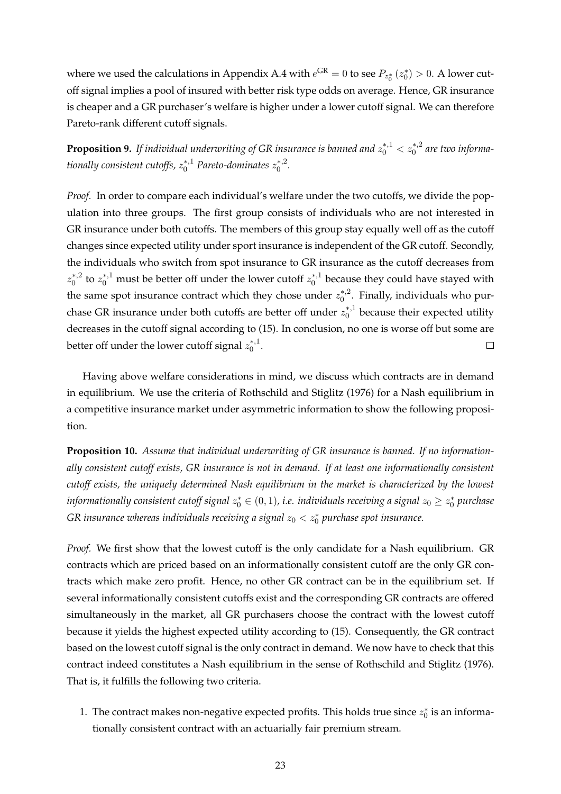where we used the calculations in Appendix [A.4](#page-38-1) with  $e^{GR} = 0$  to see  $P_{z_0^*}(z_0^*) > 0$ . A lower cutoff signal implies a pool of insured with better risk type odds on average. Hence, GR insurance is cheaper and a GR purchaser's welfare is higher under a lower cutoff signal. We can therefore Pareto-rank different cutoff signals.

<span id="page-23-0"></span>**Proposition 9.** If individual underwriting of GR insurance is banned and  $z_0^{*,1} < z_0^{*,2}$  are two informa*tionally consistent cutoffs,*  $z_0^{*,1}$  *Pareto-dominates*  $z_0^{*,2}$  $\int_{0}^{*,2}$ 

*Proof.* In order to compare each individual's welfare under the two cutoffs, we divide the population into three groups. The first group consists of individuals who are not interested in GR insurance under both cutoffs. The members of this group stay equally well off as the cutoff changes since expected utility under sport insurance is independent of the GR cutoff. Secondly, the individuals who switch from spot insurance to GR insurance as the cutoff decreases from  $z_0^{*,2}$  $\zeta_0^{*,2}$  to  $z_0^{*,1}$  must be better off under the lower cutoff  $z_0^{*,1}$  $_{0}^{\ast,1}$  because they could have stayed with the same spot insurance contract which they chose under  $z_0^*$ .  $_{0}^{\ast,2}$ . Finally, individuals who purchase GR insurance under both cutoffs are better off under  $z_0^{*,1}$  $n_0^{*,1}$  because their expected utility decreases in the cutoff signal according to [\(15\)](#page-22-0). In conclusion, no one is worse off but some are better off under the lower cutoff signal  $z_0^{*,1}$  $_{0}^{*,1}.$  $\Box$ 

Having above welfare considerations in mind, we discuss which contracts are in demand in equilibrium. We use the criteria of [Rothschild and Stiglitz](#page-44-15) [\(1976\)](#page-44-15) for a Nash equilibrium in a competitive insurance market under asymmetric information to show the following proposition.

<span id="page-23-1"></span>**Proposition 10.** *Assume that individual underwriting of GR insurance is banned. If no informationally consistent cutoff exists, GR insurance is not in demand. If at least one informationally consistent cutoff exists, the uniquely determined Nash equilibrium in the market is characterized by the lowest*  $informationally consistent cutoff signal  $z_0^*\in (0,1)$ , i.e. individuals receiving a signal  $z_0\geq z_0^*$  purchase$ GR insurance whereas individuals receiving a signal  $z_0 < z_0^*$  purchase spot insurance.

*Proof.* We first show that the lowest cutoff is the only candidate for a Nash equilibrium. GR contracts which are priced based on an informationally consistent cutoff are the only GR contracts which make zero profit. Hence, no other GR contract can be in the equilibrium set. If several informationally consistent cutoffs exist and the corresponding GR contracts are offered simultaneously in the market, all GR purchasers choose the contract with the lowest cutoff because it yields the highest expected utility according to [\(15\)](#page-22-0). Consequently, the GR contract based on the lowest cutoff signal is the only contract in demand. We now have to check that this contract indeed constitutes a Nash equilibrium in the sense of [Rothschild and Stiglitz](#page-44-15) [\(1976\)](#page-44-15). That is, it fulfills the following two criteria.

1. The contract makes non-negative expected profits. This holds true since  $z_0^*$  is an informationally consistent contract with an actuarially fair premium stream.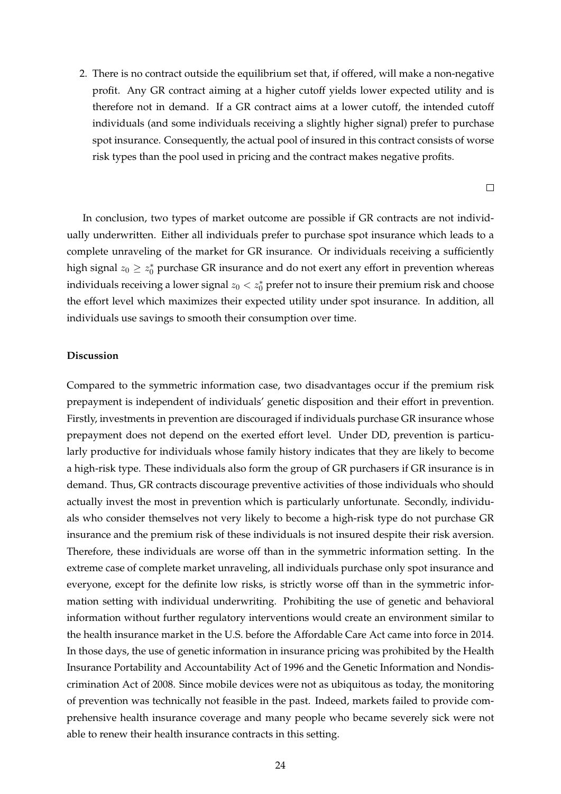2. There is no contract outside the equilibrium set that, if offered, will make a non-negative profit. Any GR contract aiming at a higher cutoff yields lower expected utility and is therefore not in demand. If a GR contract aims at a lower cutoff, the intended cutoff individuals (and some individuals receiving a slightly higher signal) prefer to purchase spot insurance. Consequently, the actual pool of insured in this contract consists of worse risk types than the pool used in pricing and the contract makes negative profits.

 $\Box$ 

In conclusion, two types of market outcome are possible if GR contracts are not individually underwritten. Either all individuals prefer to purchase spot insurance which leads to a complete unraveling of the market for GR insurance. Or individuals receiving a sufficiently high signal  $z_0 \geq z_0^*$  purchase GR insurance and do not exert any effort in prevention whereas individuals receiving a lower signal  $z_0 < z_0^*$  prefer not to insure their premium risk and choose the effort level which maximizes their expected utility under spot insurance. In addition, all individuals use savings to smooth their consumption over time.

# **Discussion**

Compared to the symmetric information case, two disadvantages occur if the premium risk prepayment is independent of individuals' genetic disposition and their effort in prevention. Firstly, investments in prevention are discouraged if individuals purchase GR insurance whose prepayment does not depend on the exerted effort level. Under DD, prevention is particularly productive for individuals whose family history indicates that they are likely to become a high-risk type. These individuals also form the group of GR purchasers if GR insurance is in demand. Thus, GR contracts discourage preventive activities of those individuals who should actually invest the most in prevention which is particularly unfortunate. Secondly, individuals who consider themselves not very likely to become a high-risk type do not purchase GR insurance and the premium risk of these individuals is not insured despite their risk aversion. Therefore, these individuals are worse off than in the symmetric information setting. In the extreme case of complete market unraveling, all individuals purchase only spot insurance and everyone, except for the definite low risks, is strictly worse off than in the symmetric information setting with individual underwriting. Prohibiting the use of genetic and behavioral information without further regulatory interventions would create an environment similar to the health insurance market in the U.S. before the Affordable Care Act came into force in 2014. In those days, the use of genetic information in insurance pricing was prohibited by the Health Insurance Portability and Accountability Act of 1996 and the Genetic Information and Nondiscrimination Act of 2008. Since mobile devices were not as ubiquitous as today, the monitoring of prevention was technically not feasible in the past. Indeed, markets failed to provide comprehensive health insurance coverage and many people who became severely sick were not able to renew their health insurance contracts in this setting.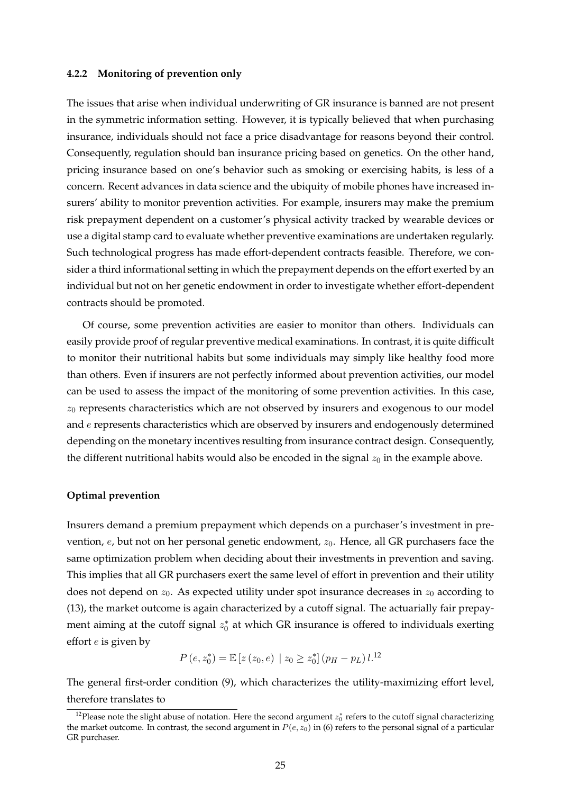# **4.2.2 Monitoring of prevention only**

The issues that arise when individual underwriting of GR insurance is banned are not present in the symmetric information setting. However, it is typically believed that when purchasing insurance, individuals should not face a price disadvantage for reasons beyond their control. Consequently, regulation should ban insurance pricing based on genetics. On the other hand, pricing insurance based on one's behavior such as smoking or exercising habits, is less of a concern. Recent advances in data science and the ubiquity of mobile phones have increased insurers' ability to monitor prevention activities. For example, insurers may make the premium risk prepayment dependent on a customer's physical activity tracked by wearable devices or use a digital stamp card to evaluate whether preventive examinations are undertaken regularly. Such technological progress has made effort-dependent contracts feasible. Therefore, we consider a third informational setting in which the prepayment depends on the effort exerted by an individual but not on her genetic endowment in order to investigate whether effort-dependent contracts should be promoted.

Of course, some prevention activities are easier to monitor than others. Individuals can easily provide proof of regular preventive medical examinations. In contrast, it is quite difficult to monitor their nutritional habits but some individuals may simply like healthy food more than others. Even if insurers are not perfectly informed about prevention activities, our model can be used to assess the impact of the monitoring of some prevention activities. In this case,  $z_0$  represents characteristics which are not observed by insurers and exogenous to our model and  $e$  represents characteristics which are observed by insurers and endogenously determined depending on the monetary incentives resulting from insurance contract design. Consequently, the different nutritional habits would also be encoded in the signal  $z_0$  in the example above.

## **Optimal prevention**

Insurers demand a premium prepayment which depends on a purchaser's investment in prevention,  $e$ , but not on her personal genetic endowment,  $z_0$ . Hence, all GR purchasers face the same optimization problem when deciding about their investments in prevention and saving. This implies that all GR purchasers exert the same level of effort in prevention and their utility does not depend on  $z_0$ . As expected utility under spot insurance decreases in  $z_0$  according to [\(13\)](#page-21-0), the market outcome is again characterized by a cutoff signal. The actuarially fair prepayment aiming at the cutoff signal  $z_0^*$  at which GR insurance is offered to individuals exerting effort  $e$  is given by

$$
P(e, z_0^*) = \mathbb{E}\left[z\left(z_0, e\right) \mid z_0 \geq z_0^*\right] \left(p_H - p_L\right) l^{12}
$$

The general first-order condition [\(9\)](#page-16-0), which characterizes the utility-maximizing effort level, therefore translates to

<span id="page-25-0"></span><sup>&</sup>lt;sup>12</sup>Please note the slight abuse of notation. Here the second argument  $z_0^*$  refers to the cutoff signal characterizing the market outcome. In contrast, the second argument in  $P(e, z_0)$  in [\(6\)](#page-16-2) refers to the personal signal of a particular GR purchaser.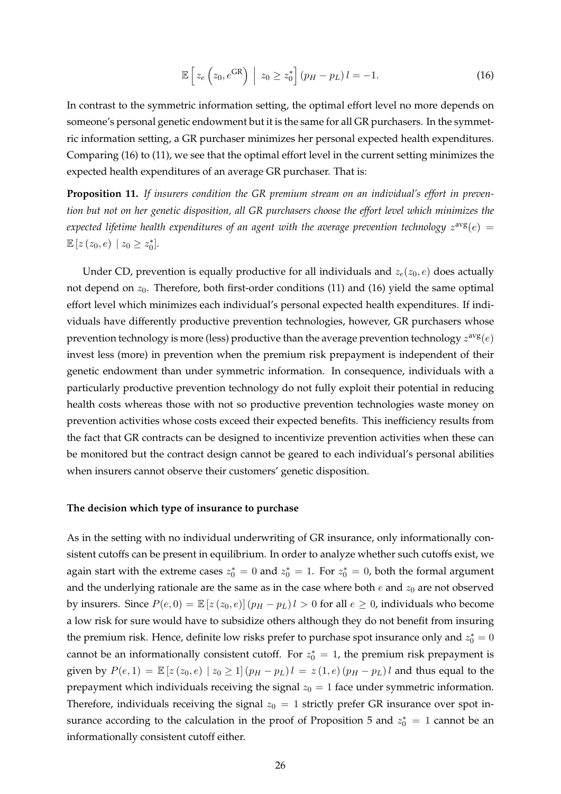<span id="page-26-0"></span>
$$
\mathbb{E}\left[z_e\left(z_0, e^{GR}\right) \middle| z_0 \ge z_0^* \right] (p_H - p_L) l = -1. \tag{16}
$$

In contrast to the symmetric information setting, the optimal effort level no more depends on someone's personal genetic endowment but it is the same for all GR purchasers. In the symmetric information setting, a GR purchaser minimizes her personal expected health expenditures. Comparing [\(16\)](#page-26-0) to [\(11\)](#page-17-0), we see that the optimal effort level in the current setting minimizes the expected health expenditures of an average GR purchaser. That is:

**Proposition 11.** *If insurers condition the GR premium stream on an individual's effort in prevention but not on her genetic disposition, all GR purchasers choose the effort level which minimizes the* expected lifetime health expenditures of an agent with the average prevention technology  $z^{\text{avg}}(e)$  =  $\mathbb{E}\left[z\left(z_{0},e\right)\,\,\middle|\,z_{0}\geq z_{0}^{*}\right].$ 

Under CD, prevention is equally productive for all individuals and  $z_e(z_0, e)$  does actually not depend on  $z_0$ . Therefore, both first-order conditions [\(11\)](#page-17-0) and [\(16\)](#page-26-0) yield the same optimal effort level which minimizes each individual's personal expected health expenditures. If individuals have differently productive prevention technologies, however, GR purchasers whose prevention technology is more (less) productive than the average prevention technology  $z^{\text{avg}}(e)$ invest less (more) in prevention when the premium risk prepayment is independent of their genetic endowment than under symmetric information. In consequence, individuals with a particularly productive prevention technology do not fully exploit their potential in reducing health costs whereas those with not so productive prevention technologies waste money on prevention activities whose costs exceed their expected benefits. This inefficiency results from the fact that GR contracts can be designed to incentivize prevention activities when these can be monitored but the contract design cannot be geared to each individual's personal abilities when insurers cannot observe their customers' genetic disposition.

## **The decision which type of insurance to purchase**

As in the setting with no individual underwriting of GR insurance, only informationally consistent cutoffs can be present in equilibrium. In order to analyze whether such cutoffs exist, we again start with the extreme cases  $z_0^* = 0$  and  $z_0^* = 1$ . For  $z_0^* = 0$ , both the formal argument and the underlying rationale are the same as in the case where both  $e$  and  $z_0$  are not observed by insurers. Since  $P(e, 0) = \mathbb{E}[z(z_0, e)] (p_H - p_L) l > 0$  for all  $e \ge 0$ , individuals who become a low risk for sure would have to subsidize others although they do not benefit from insuring the premium risk. Hence, definite low risks prefer to purchase spot insurance only and  $z_0^* = 0$ cannot be an informationally consistent cutoff. For  $z_0^* = 1$ , the premium risk prepayment is given by  $P(e, 1) = \mathbb{E}[z(z_0, e) | z_0 \ge 1] (p_H - p_L) l = z(1, e) (p_H - p_L) l$  and thus equal to the prepayment which individuals receiving the signal  $z_0 = 1$  face under symmetric information. Therefore, individuals receiving the signal  $z_0 = 1$  strictly prefer GR insurance over spot in-surance according to the calculation in the proof of Proposition [5](#page-18-1) and  $z_0^* = 1$  cannot be an informationally consistent cutoff either.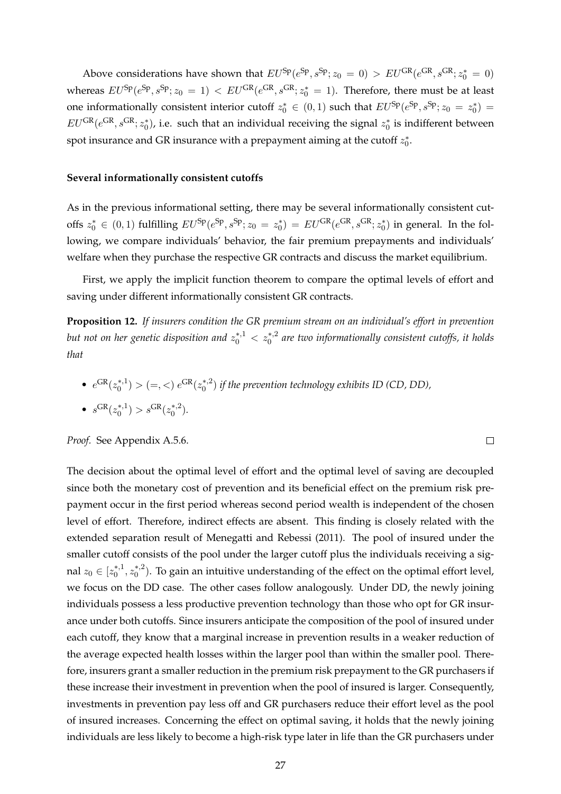Above considerations have shown that  $EU^{Sp}(e^{Sp}, s^{Sp}; z_0 = 0) > EU^{GR}(e^{GR}, s^{GR}; z_0^* = 0)$ whereas  $EU^{\text{Sp}}(e^{\text{Sp}}, s^{\text{Sp}}; z_0 = 1) < EU^{\text{GR}}(e^{\text{GR}}, s^{\text{GR}}; z_0^* = 1)$ . Therefore, there must be at least one informationally consistent interior cutoff  $z_0^* \in (0,1)$  such that  $EU^{\text{Sp}}(e^{\text{Sp}}, s^{\text{Sp}}; z_0 = z_0^*)$  $EU^{GR}(e^{GR}, s^{GR}; z_0^*)$ , i.e. such that an individual receiving the signal  $z_0^*$  is indifferent between spot insurance and GR insurance with a prepayment aiming at the cutoff  $z_0^*$ .

# **Several informationally consistent cutoffs**

As in the previous informational setting, there may be several informationally consistent cutoffs  $z_0^* \in (0,1)$  fulfilling  $EU^{\text{Sp}}(e^{\text{Sp}}, s^{\text{Sp}}; z_0 = z_0^*) = EU^{\text{GR}}(e^{\text{GR}}, s^{\text{GR}}; z_0^*)$  in general. In the following, we compare individuals' behavior, the fair premium prepayments and individuals' welfare when they purchase the respective GR contracts and discuss the market equilibrium.

First, we apply the implicit function theorem to compare the optimal levels of effort and saving under different informationally consistent GR contracts.

<span id="page-27-0"></span>**Proposition 12.** *If insurers condition the GR premium stream on an individual's effort in prevention* but not on her genetic disposition and  $z_0^{*,1} < z_0^{*,2}$  are two informationally consistent cutoffs, it holds *that*

 $\Box$ 

\n- $$
e^{GR}(z_0^{*,1}) > (=, <) e^{GR}(z_0^{*,2})
$$
 if the prevention technology exhibits ID (CD, DD),
\n- $s^{GR}(z_0^{*,1}) > s^{GR}(z_0^{*,2})$ .
\n

*Proof.* See Appendix [A.5.6.](#page-41-1)

The decision about the optimal level of effort and the optimal level of saving are decoupled since both the monetary cost of prevention and its beneficial effect on the premium risk prepayment occur in the first period whereas second period wealth is independent of the chosen level of effort. Therefore, indirect effects are absent. This finding is closely related with the extended separation result of [Menegatti and Rebessi](#page-44-22) [\(2011\)](#page-44-22). The pool of insured under the smaller cutoff consists of the pool under the larger cutoff plus the individuals receiving a signal  $z_0\in [z_0^{*,1}]$  $x_0^{*,1}, z_0^{*,2}$  $C_0^{*,2}$ ). To gain an intuitive understanding of the effect on the optimal effort level, we focus on the DD case. The other cases follow analogously. Under DD, the newly joining individuals possess a less productive prevention technology than those who opt for GR insurance under both cutoffs. Since insurers anticipate the composition of the pool of insured under each cutoff, they know that a marginal increase in prevention results in a weaker reduction of the average expected health losses within the larger pool than within the smaller pool. Therefore, insurers grant a smaller reduction in the premium risk prepayment to the GR purchasers if these increase their investment in prevention when the pool of insured is larger. Consequently, investments in prevention pay less off and GR purchasers reduce their effort level as the pool of insured increases. Concerning the effect on optimal saving, it holds that the newly joining individuals are less likely to become a high-risk type later in life than the GR purchasers under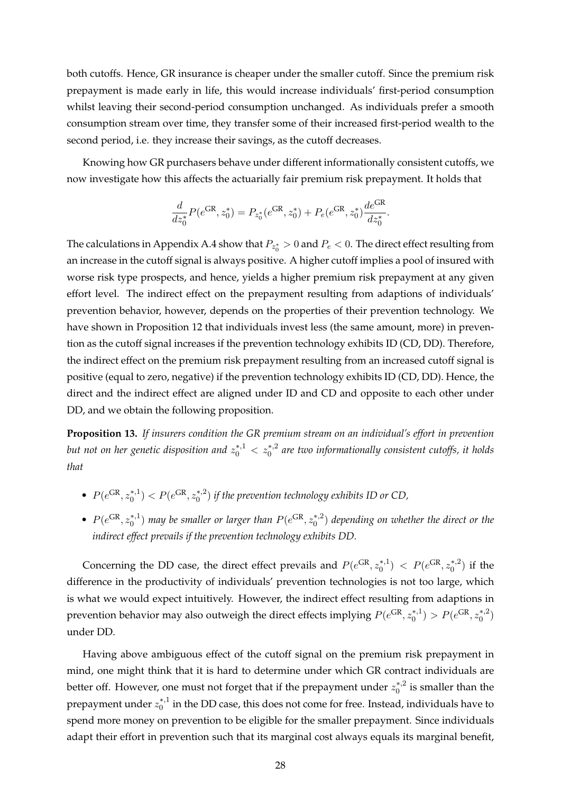both cutoffs. Hence, GR insurance is cheaper under the smaller cutoff. Since the premium risk prepayment is made early in life, this would increase individuals' first-period consumption whilst leaving their second-period consumption unchanged. As individuals prefer a smooth consumption stream over time, they transfer some of their increased first-period wealth to the second period, i.e. they increase their savings, as the cutoff decreases.

Knowing how GR purchasers behave under different informationally consistent cutoffs, we now investigate how this affects the actuarially fair premium risk prepayment. It holds that

$$
\frac{d}{dz_0^*}P(e^{\text{GR}}, z_0^*) = P_{z_0^*}(e^{\text{GR}}, z_0^*) + P_e(e^{\text{GR}}, z_0^*)\frac{de^{\text{GR}}}{dz_0^*}.
$$

The calculations in Appendix [A.4](#page-38-1) show that  $P_{z_0^*} > 0$  and  $P_e < 0$ . The direct effect resulting from an increase in the cutoff signal is always positive. A higher cutoff implies a pool of insured with worse risk type prospects, and hence, yields a higher premium risk prepayment at any given effort level. The indirect effect on the prepayment resulting from adaptions of individuals' prevention behavior, however, depends on the properties of their prevention technology. We have shown in Proposition [12](#page-27-0) that individuals invest less (the same amount, more) in prevention as the cutoff signal increases if the prevention technology exhibits ID (CD, DD). Therefore, the indirect effect on the premium risk prepayment resulting from an increased cutoff signal is positive (equal to zero, negative) if the prevention technology exhibits ID (CD, DD). Hence, the direct and the indirect effect are aligned under ID and CD and opposite to each other under DD, and we obtain the following proposition.

**Proposition 13.** *If insurers condition the GR premium stream on an individual's effort in prevention* but not on her genetic disposition and  $z_0^{*,1} < z_0^{*,2}$  are two informationally consistent cutoffs, it holds *that*

- $P(e^{GR}, z_0^{*,1})$  $P(e^{GR}, z_0^{*,2})$  $\binom{4}{0}$  if the prevention technology exhibits ID or CD,
- $P(e^{GR}, z_0^{*,1})$  $\ell_0^{*,1})$  may be smaller or larger than  $P(e^{\text{GR}}, z_0^{*,2})$  $\binom{18}{0}$  depending on whether the direct or the *indirect effect prevails if the prevention technology exhibits DD.*

Concerning the DD case, the direct effect prevails and  $P(e^{GR}, z_0^{*,1})$  $P(e^{GR}, z_0^{*,2})$  $\binom{*,2}{0}$  if the difference in the productivity of individuals' prevention technologies is not too large, which is what we would expect intuitively. However, the indirect effect resulting from adaptions in prevention behavior may also outweigh the direct effects implying  $P(e^{GR}, z_0^{*,1})$  $P(e^{GR}, z_0^{*,2})$  $\binom{*,2}{0}$ under DD.

Having above ambiguous effect of the cutoff signal on the premium risk prepayment in mind, one might think that it is hard to determine under which GR contract individuals are better off. However, one must not forget that if the prepayment under  $z_0^{*,2}$  $i_0^{*,2}$  is smaller than the prepayment under  $z_0^{*,1}$  $_{0}^{*,1}$  in the DD case, this does not come for free. Instead, individuals have to spend more money on prevention to be eligible for the smaller prepayment. Since individuals adapt their effort in prevention such that its marginal cost always equals its marginal benefit,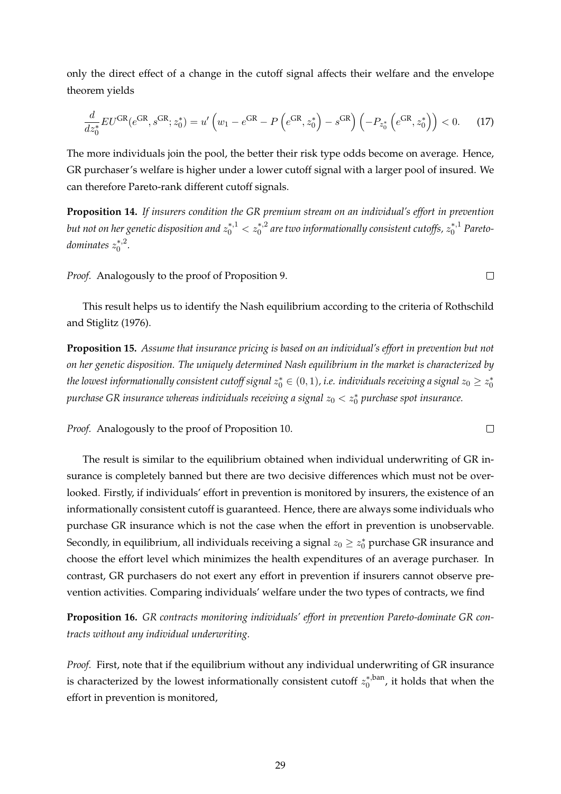only the direct effect of a change in the cutoff signal affects their welfare and the envelope theorem yields

$$
\frac{d}{dz_0^*} EU^{GR}(e^{GR}, s^{GR}; z_0^*) = u'\left(w_1 - e^{GR} - P\left(e^{GR}, z_0^*\right) - s^{GR}\right)\left(-P_{z_0^*}\left(e^{GR}, z_0^*\right)\right) < 0. \tag{17}
$$

The more individuals join the pool, the better their risk type odds become on average. Hence, GR purchaser's welfare is higher under a lower cutoff signal with a larger pool of insured. We can therefore Pareto-rank different cutoff signals.

**Proposition 14.** *If insurers condition the GR premium stream on an individual's effort in prevention* but not on her genetic disposition and  $z_0^{*,1} < z_0^{*,2}$  are two informationally consistent cutoffs,  $z_0^{*,1}$  Pareto*dominates*  $z_0^{*,2}$  $\int_{0}^{*,2}$ 

*Proof.* Analogously to the proof of Proposition [9.](#page-23-0)

This result helps us to identify the Nash equilibrium according to the criteria of [Rothschild](#page-44-15) [and Stiglitz](#page-44-15) [\(1976\)](#page-44-15).

**Proposition 15.** *Assume that insurance pricing is based on an individual's effort in prevention but not on her genetic disposition. The uniquely determined Nash equilibrium in the market is characterized by* the lowest informationally consistent cutoff signal  $z^*_0 \in (0,1)$ , i.e. individuals receiving a signal  $z_0 \geq z^*_0$  $\emph{purchase GR insurance}$  whereas individuals receiving a signal  $z_0 < z_0^*$  purchase spot insurance.

*Proof.* Analogously to the proof of Proposition [10.](#page-23-1)

The result is similar to the equilibrium obtained when individual underwriting of GR insurance is completely banned but there are two decisive differences which must not be overlooked. Firstly, if individuals' effort in prevention is monitored by insurers, the existence of an informationally consistent cutoff is guaranteed. Hence, there are always some individuals who purchase GR insurance which is not the case when the effort in prevention is unobservable. Secondly, in equilibrium, all individuals receiving a signal  $z_0 \geq z_0^*$  purchase GR insurance and choose the effort level which minimizes the health expenditures of an average purchaser. In contrast, GR purchasers do not exert any effort in prevention if insurers cannot observe prevention activities. Comparing individuals' welfare under the two types of contracts, we find

<span id="page-29-0"></span>**Proposition 16.** *GR contracts monitoring individuals' effort in prevention Pareto-dominate GR contracts without any individual underwriting.*

*Proof.* First, note that if the equilibrium without any individual underwriting of GR insurance is characterized by the lowest informationally consistent cutoff  $z_0^{*,\text{ban}}$  $\binom{0}{0}$ , it holds that when the effort in prevention is monitored,

 $\Box$ 

 $\Box$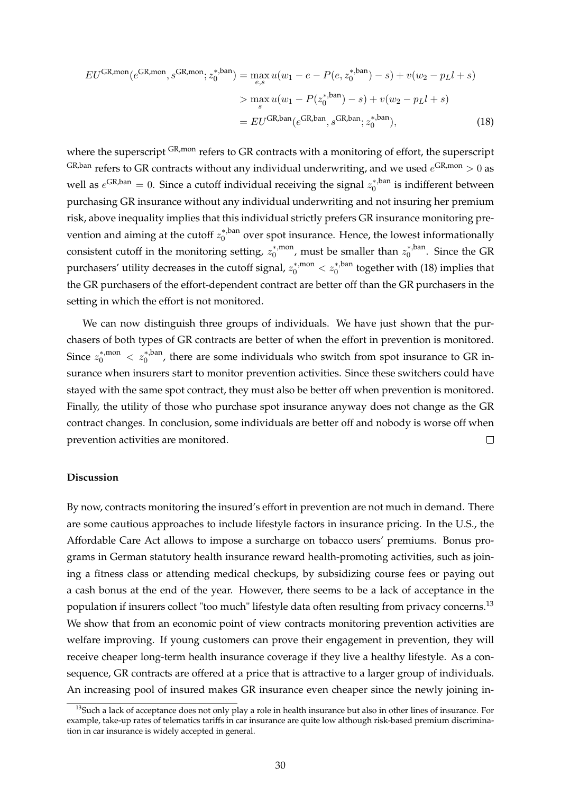<span id="page-30-0"></span>
$$
EU^{GR,mon}(e^{GR,mon}, s^{GR,mon}; z_0^{*,ban}) = \max_{e,s} u(w_1 - e - P(e, z_0^{*,ban}) - s) + v(w_2 - p_L l + s)
$$
  
> 
$$
\max_{s} u(w_1 - P(z_0^{*,ban}) - s) + v(w_2 - p_L l + s)
$$
  
= 
$$
EU^{GR,ban}(e^{GR,ban}; z_0^{*,ban}),
$$
 (18)

where the superscript GR,mon refers to GR contracts with a monitoring of effort, the superscript <sup>GR,ban</sup> refers to GR contracts without any individual underwriting, and we used  $e^{GR,mon} > 0$  as well as  $e^{GR,ban} = 0$ . Since a cutoff individual receiving the signal  $z_0^{*,ban}$  $\zeta_0^{*,\text{pan}}$  is indifferent between purchasing GR insurance without any individual underwriting and not insuring her premium risk, above inequality implies that this individual strictly prefers GR insurance monitoring prevention and aiming at the cutoff  $z_0^*$ <sup>,ban</sup>  $\delta_0^*$ <sup>, pan</sup> over spot insurance. Hence, the lowest informationally consistent cutoff in the monitoring setting,  $z_0^*$ <sup>,mon</sup>  $_{0}^{*,\text{mon}}$ , must be smaller than  $z_{0}^{*,\text{ban}}$  $\int_0^{\ast$ , band Since the GR purchasers' utility decreases in the cutoff signal,  $z_0^{*,\mathrm{mon}} < z_0^{*,\mathrm{ban}}$  together with [\(18\)](#page-30-0) implies that the GR purchasers of the effort-dependent contract are better off than the GR purchasers in the setting in which the effort is not monitored.

We can now distinguish three groups of individuals. We have just shown that the purchasers of both types of GR contracts are better of when the effort in prevention is monitored. Since  $z_0^{*,\text{mon}} < z_0^{*,\text{ban}}$ , there are some individuals who switch from spot insurance to GR insurance when insurers start to monitor prevention activities. Since these switchers could have stayed with the same spot contract, they must also be better off when prevention is monitored. Finally, the utility of those who purchase spot insurance anyway does not change as the GR contract changes. In conclusion, some individuals are better off and nobody is worse off when prevention activities are monitored.  $\Box$ 

#### **Discussion**

By now, contracts monitoring the insured's effort in prevention are not much in demand. There are some cautious approaches to include lifestyle factors in insurance pricing. In the U.S., the Affordable Care Act allows to impose a surcharge on tobacco users' premiums. Bonus programs in German statutory health insurance reward health-promoting activities, such as joining a fitness class or attending medical checkups, by subsidizing course fees or paying out a cash bonus at the end of the year. However, there seems to be a lack of acceptance in the population if insurers collect "too much" lifestyle data often resulting from privacy concerns.[13](#page-30-1) We show that from an economic point of view contracts monitoring prevention activities are welfare improving. If young customers can prove their engagement in prevention, they will receive cheaper long-term health insurance coverage if they live a healthy lifestyle. As a consequence, GR contracts are offered at a price that is attractive to a larger group of individuals. An increasing pool of insured makes GR insurance even cheaper since the newly joining in-

<span id="page-30-1"></span> $13$ Such a lack of acceptance does not only play a role in health insurance but also in other lines of insurance. For example, take-up rates of telematics tariffs in car insurance are quite low although risk-based premium discrimination in car insurance is widely accepted in general.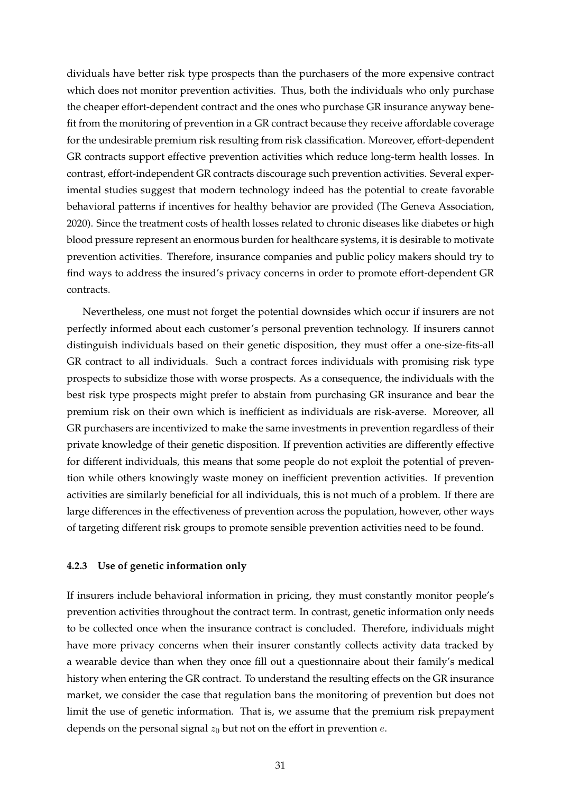dividuals have better risk type prospects than the purchasers of the more expensive contract which does not monitor prevention activities. Thus, both the individuals who only purchase the cheaper effort-dependent contract and the ones who purchase GR insurance anyway benefit from the monitoring of prevention in a GR contract because they receive affordable coverage for the undesirable premium risk resulting from risk classification. Moreover, effort-dependent GR contracts support effective prevention activities which reduce long-term health losses. In contrast, effort-independent GR contracts discourage such prevention activities. Several experimental studies suggest that modern technology indeed has the potential to create favorable behavioral patterns if incentives for healthy behavior are provided [\(The Geneva Association,](#page-45-4) [2020\)](#page-45-4). Since the treatment costs of health losses related to chronic diseases like diabetes or high blood pressure represent an enormous burden for healthcare systems, it is desirable to motivate prevention activities. Therefore, insurance companies and public policy makers should try to find ways to address the insured's privacy concerns in order to promote effort-dependent GR contracts.

Nevertheless, one must not forget the potential downsides which occur if insurers are not perfectly informed about each customer's personal prevention technology. If insurers cannot distinguish individuals based on their genetic disposition, they must offer a one-size-fits-all GR contract to all individuals. Such a contract forces individuals with promising risk type prospects to subsidize those with worse prospects. As a consequence, the individuals with the best risk type prospects might prefer to abstain from purchasing GR insurance and bear the premium risk on their own which is inefficient as individuals are risk-averse. Moreover, all GR purchasers are incentivized to make the same investments in prevention regardless of their private knowledge of their genetic disposition. If prevention activities are differently effective for different individuals, this means that some people do not exploit the potential of prevention while others knowingly waste money on inefficient prevention activities. If prevention activities are similarly beneficial for all individuals, this is not much of a problem. If there are large differences in the effectiveness of prevention across the population, however, other ways of targeting different risk groups to promote sensible prevention activities need to be found.

#### **4.2.3 Use of genetic information only**

If insurers include behavioral information in pricing, they must constantly monitor people's prevention activities throughout the contract term. In contrast, genetic information only needs to be collected once when the insurance contract is concluded. Therefore, individuals might have more privacy concerns when their insurer constantly collects activity data tracked by a wearable device than when they once fill out a questionnaire about their family's medical history when entering the GR contract. To understand the resulting effects on the GR insurance market, we consider the case that regulation bans the monitoring of prevention but does not limit the use of genetic information. That is, we assume that the premium risk prepayment depends on the personal signal  $z_0$  but not on the effort in prevention e.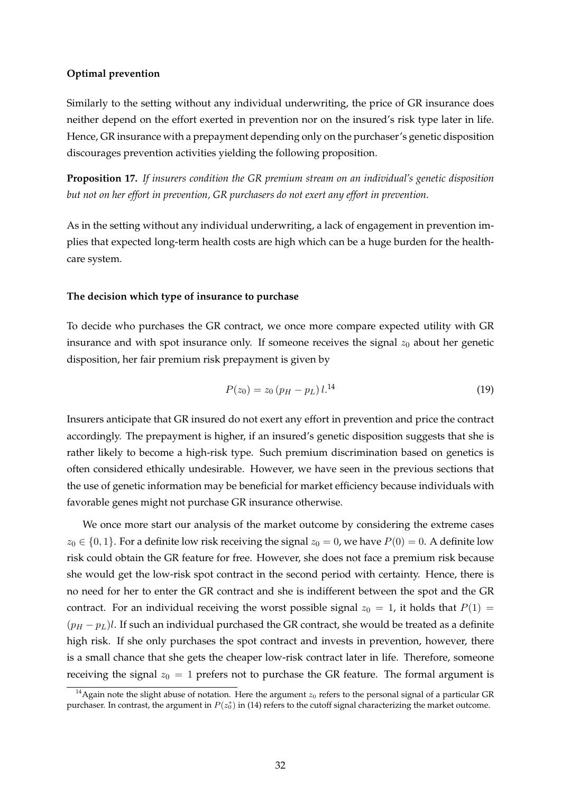# **Optimal prevention**

Similarly to the setting without any individual underwriting, the price of GR insurance does neither depend on the effort exerted in prevention nor on the insured's risk type later in life. Hence, GR insurance with a prepayment depending only on the purchaser's genetic disposition discourages prevention activities yielding the following proposition.

**Proposition 17.** *If insurers condition the GR premium stream on an individual's genetic disposition but not on her effort in prevention, GR purchasers do not exert any effort in prevention.*

As in the setting without any individual underwriting, a lack of engagement in prevention implies that expected long-term health costs are high which can be a huge burden for the healthcare system.

# **The decision which type of insurance to purchase**

To decide who purchases the GR contract, we once more compare expected utility with GR insurance and with spot insurance only. If someone receives the signal  $z_0$  about her genetic disposition, her fair premium risk prepayment is given by

$$
P(z_0) = z_0 \left( p_H - p_L \right) l^{14} \tag{19}
$$

Insurers anticipate that GR insured do not exert any effort in prevention and price the contract accordingly. The prepayment is higher, if an insured's genetic disposition suggests that she is rather likely to become a high-risk type. Such premium discrimination based on genetics is often considered ethically undesirable. However, we have seen in the previous sections that the use of genetic information may be beneficial for market efficiency because individuals with favorable genes might not purchase GR insurance otherwise.

We once more start our analysis of the market outcome by considering the extreme cases  $z_0 \in \{0, 1\}$ . For a definite low risk receiving the signal  $z_0 = 0$ , we have  $P(0) = 0$ . A definite low risk could obtain the GR feature for free. However, she does not face a premium risk because she would get the low-risk spot contract in the second period with certainty. Hence, there is no need for her to enter the GR contract and she is indifferent between the spot and the GR contract. For an individual receiving the worst possible signal  $z_0 = 1$ , it holds that  $P(1) =$  $(p_H - p_L)l$ . If such an individual purchased the GR contract, she would be treated as a definite high risk. If she only purchases the spot contract and invests in prevention, however, there is a small chance that she gets the cheaper low-risk contract later in life. Therefore, someone receiving the signal  $z_0 = 1$  prefers not to purchase the GR feature. The formal argument is

<span id="page-32-0"></span><sup>&</sup>lt;sup>14</sup> Again note the slight abuse of notation. Here the argument  $z_0$  refers to the personal signal of a particular GR purchaser. In contrast, the argument in  $P(z_0^*)$  in [\(14\)](#page-21-1) refers to the cutoff signal characterizing the market outcome.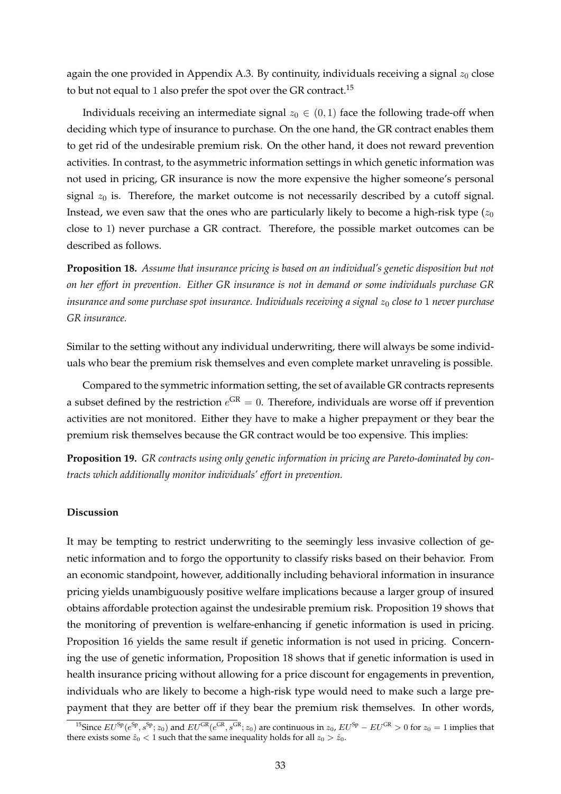again the one provided in Appendix [A.3.](#page-37-1) By continuity, individuals receiving a signal  $z_0$  close to but not equal to 1 also prefer the spot over the GR contract.<sup>[15](#page-33-0)</sup>

Individuals receiving an intermediate signal  $z_0 \in (0,1)$  face the following trade-off when deciding which type of insurance to purchase. On the one hand, the GR contract enables them to get rid of the undesirable premium risk. On the other hand, it does not reward prevention activities. In contrast, to the asymmetric information settings in which genetic information was not used in pricing, GR insurance is now the more expensive the higher someone's personal signal  $z_0$  is. Therefore, the market outcome is not necessarily described by a cutoff signal. Instead, we even saw that the ones who are particularly likely to become a high-risk type  $(z_0)$ close to 1) never purchase a GR contract. Therefore, the possible market outcomes can be described as follows.

<span id="page-33-2"></span>**Proposition 18.** *Assume that insurance pricing is based on an individual's genetic disposition but not on her effort in prevention. Either GR insurance is not in demand or some individuals purchase GR insurance and some purchase spot insurance. Individuals receiving a signal*  $z_0$  *close to* 1 *never purchase GR insurance.*

Similar to the setting without any individual underwriting, there will always be some individuals who bear the premium risk themselves and even complete market unraveling is possible.

Compared to the symmetric information setting, the set of available GR contracts represents a subset defined by the restriction  $e^{GR} = 0$ . Therefore, individuals are worse off if prevention activities are not monitored. Either they have to make a higher prepayment or they bear the premium risk themselves because the GR contract would be too expensive. This implies:

<span id="page-33-1"></span>**Proposition 19.** *GR contracts using only genetic information in pricing are Pareto-dominated by contracts which additionally monitor individuals' effort in prevention.*

# **Discussion**

It may be tempting to restrict underwriting to the seemingly less invasive collection of genetic information and to forgo the opportunity to classify risks based on their behavior. From an economic standpoint, however, additionally including behavioral information in insurance pricing yields unambiguously positive welfare implications because a larger group of insured obtains affordable protection against the undesirable premium risk. Proposition [19](#page-33-1) shows that the monitoring of prevention is welfare-enhancing if genetic information is used in pricing. Proposition [16](#page-29-0) yields the same result if genetic information is not used in pricing. Concerning the use of genetic information, Proposition [18](#page-33-2) shows that if genetic information is used in health insurance pricing without allowing for a price discount for engagements in prevention, individuals who are likely to become a high-risk type would need to make such a large prepayment that they are better off if they bear the premium risk themselves. In other words,

<span id="page-33-0"></span><sup>&</sup>lt;sup>15</sup>Since  $EU^{Sp}(e^{Sp}, s^{Sp}; z_0)$  and  $EU^{GR}(e^{GR}, s^{GR}; z_0)$  are continuous in  $z_0$ ,  $EU^{Sp} - EU^{GR} > 0$  for  $z_0 = 1$  implies that there exists some  $\hat{z}_0 < 1$  such that the same inequality holds for all  $z_0 > \hat{z}_0$ .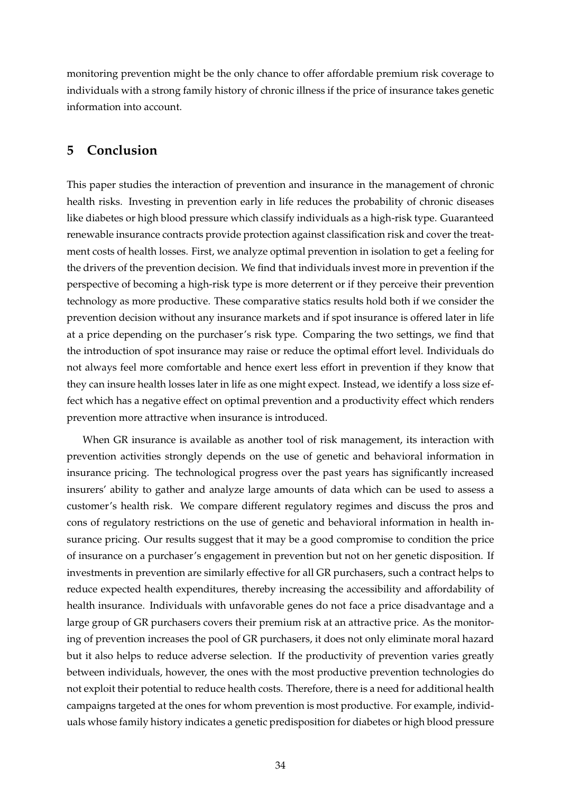monitoring prevention might be the only chance to offer affordable premium risk coverage to individuals with a strong family history of chronic illness if the price of insurance takes genetic information into account.

# **5 Conclusion**

This paper studies the interaction of prevention and insurance in the management of chronic health risks. Investing in prevention early in life reduces the probability of chronic diseases like diabetes or high blood pressure which classify individuals as a high-risk type. Guaranteed renewable insurance contracts provide protection against classification risk and cover the treatment costs of health losses. First, we analyze optimal prevention in isolation to get a feeling for the drivers of the prevention decision. We find that individuals invest more in prevention if the perspective of becoming a high-risk type is more deterrent or if they perceive their prevention technology as more productive. These comparative statics results hold both if we consider the prevention decision without any insurance markets and if spot insurance is offered later in life at a price depending on the purchaser's risk type. Comparing the two settings, we find that the introduction of spot insurance may raise or reduce the optimal effort level. Individuals do not always feel more comfortable and hence exert less effort in prevention if they know that they can insure health losses later in life as one might expect. Instead, we identify a loss size effect which has a negative effect on optimal prevention and a productivity effect which renders prevention more attractive when insurance is introduced.

When GR insurance is available as another tool of risk management, its interaction with prevention activities strongly depends on the use of genetic and behavioral information in insurance pricing. The technological progress over the past years has significantly increased insurers' ability to gather and analyze large amounts of data which can be used to assess a customer's health risk. We compare different regulatory regimes and discuss the pros and cons of regulatory restrictions on the use of genetic and behavioral information in health insurance pricing. Our results suggest that it may be a good compromise to condition the price of insurance on a purchaser's engagement in prevention but not on her genetic disposition. If investments in prevention are similarly effective for all GR purchasers, such a contract helps to reduce expected health expenditures, thereby increasing the accessibility and affordability of health insurance. Individuals with unfavorable genes do not face a price disadvantage and a large group of GR purchasers covers their premium risk at an attractive price. As the monitoring of prevention increases the pool of GR purchasers, it does not only eliminate moral hazard but it also helps to reduce adverse selection. If the productivity of prevention varies greatly between individuals, however, the ones with the most productive prevention technologies do not exploit their potential to reduce health costs. Therefore, there is a need for additional health campaigns targeted at the ones for whom prevention is most productive. For example, individuals whose family history indicates a genetic predisposition for diabetes or high blood pressure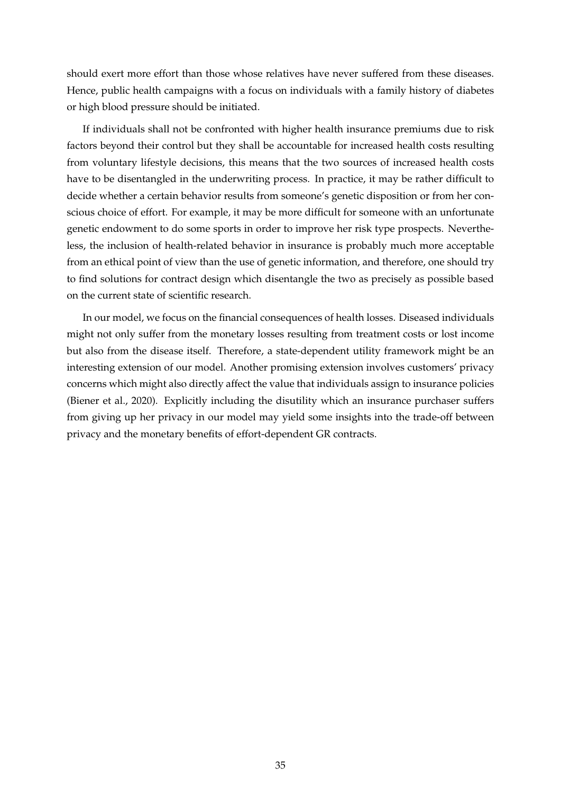should exert more effort than those whose relatives have never suffered from these diseases. Hence, public health campaigns with a focus on individuals with a family history of diabetes or high blood pressure should be initiated.

If individuals shall not be confronted with higher health insurance premiums due to risk factors beyond their control but they shall be accountable for increased health costs resulting from voluntary lifestyle decisions, this means that the two sources of increased health costs have to be disentangled in the underwriting process. In practice, it may be rather difficult to decide whether a certain behavior results from someone's genetic disposition or from her conscious choice of effort. For example, it may be more difficult for someone with an unfortunate genetic endowment to do some sports in order to improve her risk type prospects. Nevertheless, the inclusion of health-related behavior in insurance is probably much more acceptable from an ethical point of view than the use of genetic information, and therefore, one should try to find solutions for contract design which disentangle the two as precisely as possible based on the current state of scientific research.

In our model, we focus on the financial consequences of health losses. Diseased individuals might not only suffer from the monetary losses resulting from treatment costs or lost income but also from the disease itself. Therefore, a state-dependent utility framework might be an interesting extension of our model. Another promising extension involves customers' privacy concerns which might also directly affect the value that individuals assign to insurance policies [\(Biener et al.,](#page-44-23) [2020\)](#page-44-23). Explicitly including the disutility which an insurance purchaser suffers from giving up her privacy in our model may yield some insights into the trade-off between privacy and the monetary benefits of effort-dependent GR contracts.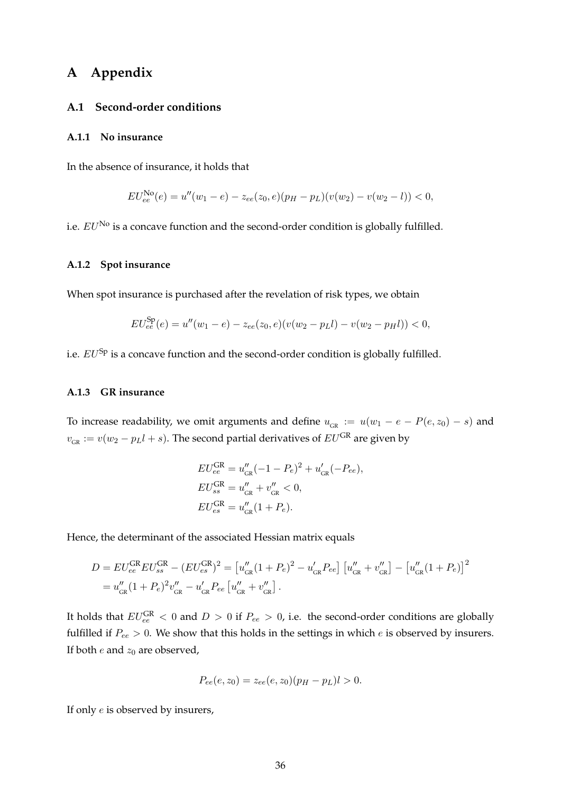# **A Appendix**

## **A.1 Second-order conditions**

#### <span id="page-36-0"></span>**A.1.1 No insurance**

In the absence of insurance, it holds that

$$
EU_{ee}^{\text{No}}(e) = u''(w_1 - e) - z_{ee}(z_0, e)(p_H - p_L)(v(w_2) - v(w_2 - l)) < 0,
$$

i.e.  $EU^{\text{No}}$  is a concave function and the second-order condition is globally fulfilled.

# <span id="page-36-1"></span>**A.1.2 Spot insurance**

When spot insurance is purchased after the revelation of risk types, we obtain

$$
EU_{ee}^{\text{Sp}}(e) = u''(w_1 - e) - z_{ee}(z_0, e)(v(w_2 - p_Ll) - v(w_2 - p_Hl)) < 0,
$$

i.e.  $EU^{Sp}$  is a concave function and the second-order condition is globally fulfilled.

#### <span id="page-36-2"></span>**A.1.3 GR insurance**

To increase readability, we omit arguments and define  $u_{GR} := u(w_1 - e - P(e, z_0) - s)$  and  $v_{\text{\tiny GR}}:=v(w_2-p_Ll+s).$  The second partial derivatives of  $EU^{\text{\scriptsize GR}}$  are given by

$$
EU_{ee}^{\text{GR}} = u''_{\text{GR}}(-1 - P_e)^2 + u'_{\text{GR}}(-P_{ee}),
$$
  
\n
$$
EU_{ss}^{\text{GR}} = u''_{\text{GR}} + v''_{\text{GR}} < 0,
$$
  
\n
$$
EU_{es}^{\text{GR}} = u''_{\text{GR}}(1 + P_e).
$$

Hence, the determinant of the associated Hessian matrix equals

$$
D = EU_{ee}^{GR} EU_{ss}^{GR} - (EU_{es}^{GR})^2 = [u_{GR}''(1 + P_e)^2 - u_{GR}'P_{ee}] [u_{GR}'' + v_{GR}''] - [u_{GR}''(1 + P_e)]^2
$$
  
=  $u_{GR}''(1 + P_e)^2 v_{GR}'' - u_{GR}'P_{ee} [u_{GR}'' + v_{GR}'']$ .

It holds that  $EU_{ee}^{GR} < 0$  and  $D > 0$  if  $P_{ee} > 0$ , i.e. the second-order conditions are globally fulfilled if  $P_{ee} > 0$ . We show that this holds in the settings in which  $e$  is observed by insurers. If both  $e$  and  $z_0$  are observed,

$$
P_{ee}(e, z_0) = z_{ee}(e, z_0)(p_H - p_L)l > 0.
$$

If only e is observed by insurers,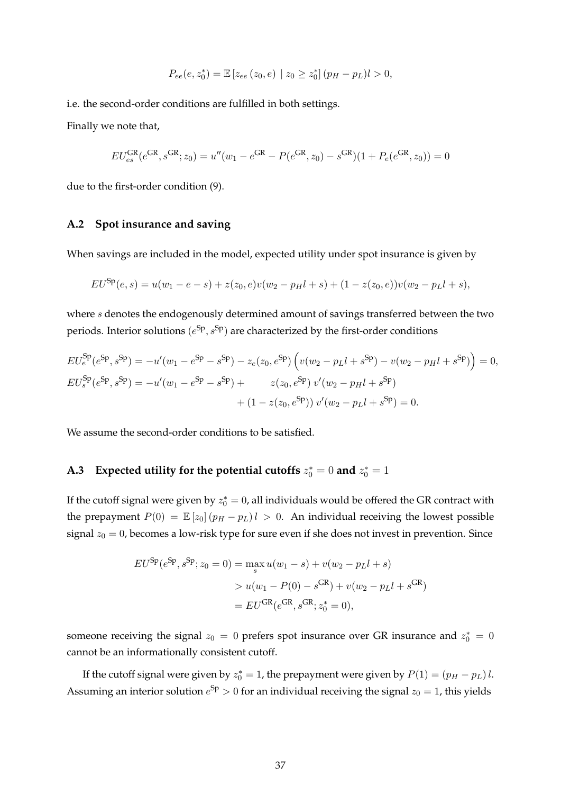$$
P_{ee}(e, z_0^*) = \mathbb{E}\left[z_{ee}(z_0, e) \mid z_0 \ge z_0^*\right] (p_H - p_L)l > 0,
$$

i.e. the second-order conditions are fulfilled in both settings.

Finally we note that,

$$
EU_{es}^{GR}(e^{GR}, s^{GR}; z_0) = u''(w_1 - e^{GR} - P(e^{GR}, z_0) - s^{GR})(1 + P_e(e^{GR}, z_0)) = 0
$$

due to the first-order condition [\(9\)](#page-16-0).

# <span id="page-37-0"></span>**A.2 Spot insurance and saving**

When savings are included in the model, expected utility under spot insurance is given by

$$
EU^{\text{Sp}}(e,s) = u(w_1 - e - s) + z(z_0, e)v(w_2 - p_H l + s) + (1 - z(z_0, e))v(w_2 - p_L l + s),
$$

where s denotes the endogenously determined amount of savings transferred between the two periods. Interior solutions  $(e^{Sp}, s^{Sp})$  are characterized by the first-order conditions

$$
EU_e^{Sp}(e^{Sp}, s^{Sp}) = -u'(w_1 - e^{Sp} - s^{Sp}) - z_e(z_0, e^{Sp}) \left( v(w_2 - p_Ll + s^{Sp}) - v(w_2 - p_Hl + s^{Sp}) \right) = 0,
$$
  
\n
$$
EU_s^{Sp}(e^{Sp}, s^{Sp}) = -u'(w_1 - e^{Sp} - s^{Sp}) + z(z_0, e^{Sp}) v'(w_2 - p_Hl + s^{Sp})
$$
  
\n
$$
+ (1 - z(z_0, e^{Sp})) v'(w_2 - p_Ll + s^{Sp}) = 0.
$$

We assume the second-order conditions to be satisfied.

# <span id="page-37-1"></span>**A.3** Expected utility for the potential cutoffs  $z_0^* = 0$  and  $z_0^* = 1$

If the cutoff signal were given by  $z_0^* = 0$ , all individuals would be offered the GR contract with the prepayment  $P(0) = \mathbb{E}[z_0](p_H - p_L)l > 0$ . An individual receiving the lowest possible signal  $z_0 = 0$ , becomes a low-risk type for sure even if she does not invest in prevention. Since

$$
EU^{Sp}(e^{Sp}, s^{Sp}; z_0 = 0) = \max_s u(w_1 - s) + v(w_2 - p_L l + s)
$$
  
>  $u(w_1 - P(0) - s^{GR}) + v(w_2 - p_L l + s^{GR})$   
=  $E U^{GR}(e^{GR}, s^{GR}; z_0^* = 0),$ 

someone receiving the signal  $z_0 = 0$  prefers spot insurance over GR insurance and  $z_0^* = 0$ cannot be an informationally consistent cutoff.

If the cutoff signal were given by  $z_0^* = 1$ , the prepayment were given by  $P(1) = (p_H - p_L) l$ . Assuming an interior solution  $e^{Sp} > 0$  for an individual receiving the signal  $z_0 = 1$ , this yields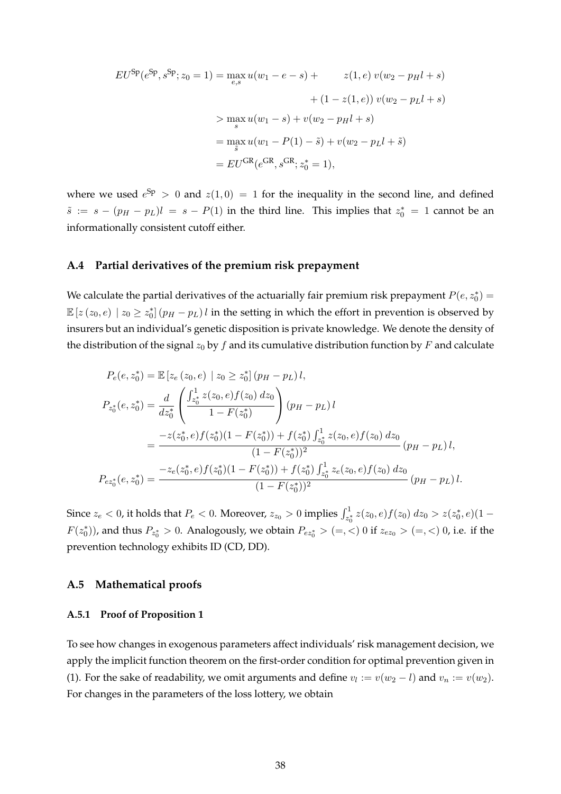$$
EU^{Sp}(e^{Sp}, s^{Sp}; z_0 = 1) = \max_{e,s} u(w_1 - e - s) + z(1, e) v(w_2 - p_H l + s)
$$
  
+  $(1 - z(1, e)) v(w_2 - p_L l + s)$   
>  $\max_{s} u(w_1 - s) + v(w_2 - p_H l + s)$   
=  $\max_{s} u(w_1 - P(1) - \tilde{s}) + v(w_2 - p_L l + \tilde{s})$   
=  $EU^{GR}(e^{GR}, s^{GR}; z_0^* = 1),$ 

where we used  $e^{Sp} > 0$  and  $z(1,0) = 1$  for the inequality in the second line, and defined  $\tilde{s}$  :=  $s - (p_H - p_L)l = s - P(1)$  in the third line. This implies that  $z_0^* = 1$  cannot be an informationally consistent cutoff either.

# <span id="page-38-1"></span>**A.4 Partial derivatives of the premium risk prepayment**

We calculate the partial derivatives of the actuarially fair premium risk prepayment  $P(e, z_0^*) =$  $\mathbb{E}\left[z\left(z_{0},e\right)\mid z_{0}\geq z_{0}^{*}\right]\left(p_{H}-p_{L}\right)l$  in the setting in which the effort in prevention is observed by insurers but an individual's genetic disposition is private knowledge. We denote the density of the distribution of the signal  $z_0$  by f and its cumulative distribution function by F and calculate

$$
P_e(e, z_0^*) = \mathbb{E} \left[ z_e(z_0, e) \mid z_0 \ge z_0^* \right] (p_H - p_L) l,
$$
  
\n
$$
P_{z_0^*}(e, z_0^*) = \frac{d}{dz_0^*} \left( \frac{\int_{z_0^*}^{1} z(z_0, e) f(z_0) dz_0}{1 - F(z_0^*)} \right) (p_H - p_L) l
$$
  
\n
$$
= \frac{-z(z_0^*, e) f(z_0^*)(1 - F(z_0^*)) + f(z_0^*) \int_{z_0^*}^{1} z(z_0, e) f(z_0) dz_0}{(1 - F(z_0^*))^2} (p_H - p_L) l,
$$
  
\n
$$
P_{ez_0^*}(e, z_0^*) = \frac{-z_e(z_0^*, e) f(z_0^*)(1 - F(z_0^*)) + f(z_0^*) \int_{z_0^*}^{1} z_e(z_0, e) f(z_0) dz_0}{(1 - F(z_0^*))^2} (p_H - p_L) l.
$$

Since  $z_e < 0$ , it holds that  $P_e < 0$ . Moreover,  $z_{z_0} > 0$  implies  $\int_{z_0^*}^1 z(z_0, e) f(z_0) dz_0 > z(z_0^*, e) (1-z_0^*)$  $F(z_0^*))$ , and thus  $P_{z_0^*} > 0$ . Analogously, we obtain  $P_{ez_0^*} > (=, <) 0$  if  $z_{ez_0} > (=, <) 0$ , i.e. if the prevention technology exhibits ID (CD, DD).

# **A.5 Mathematical proofs**

# <span id="page-38-0"></span>**A.5.1 Proof of Proposition [1](#page-9-3)**

To see how changes in exogenous parameters affect individuals' risk management decision, we apply the implicit function theorem on the first-order condition for optimal prevention given in [\(1\)](#page-8-0). For the sake of readability, we omit arguments and define  $v_l := v(w_2 - l)$  and  $v_n := v(w_2)$ . For changes in the parameters of the loss lottery, we obtain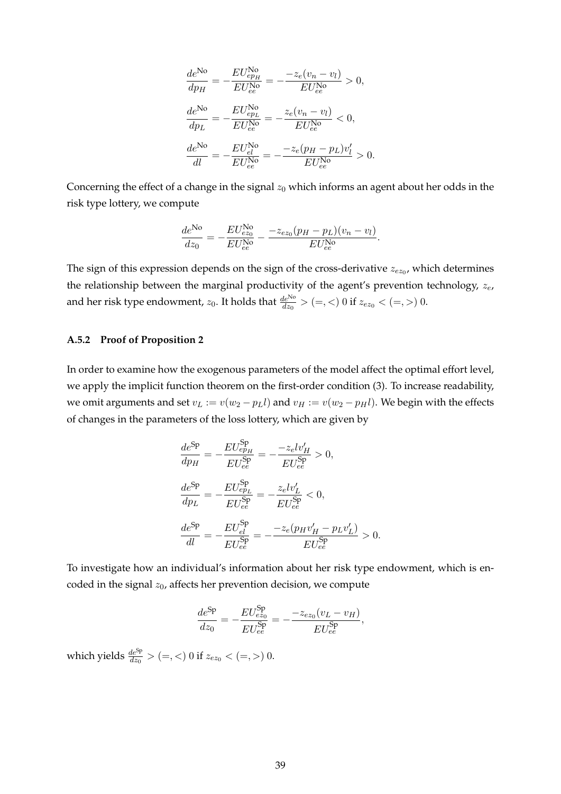$$
\frac{de^{\text{No}}}{dp_H} = -\frac{EU_{ep_H}^{\text{No}}}{EU_{ee}^{\text{No}}} = -\frac{-z_e(v_n - v_l)}{EU_{ee}^{\text{No}}} > 0,
$$
\n
$$
\frac{de^{\text{No}}}{dp_L} = -\frac{EU_{ep_L}^{\text{No}}}{EU_{ee}^{\text{No}}} = -\frac{z_e(v_n - v_l)}{EU_{ee}^{\text{No}}} < 0,
$$
\n
$$
\frac{de^{\text{No}}}{dl} = -\frac{EU_{el}^{\text{No}}}{EU_{ee}^{\text{No}}} = -\frac{-z_e(p_H - p_L)v_l'}{EU_{ee}^{\text{No}}} > 0.
$$

Concerning the effect of a change in the signal  $z_0$  which informs an agent about her odds in the risk type lottery, we compute

$$
\frac{de^{\rm No}}{dz_0} = -\frac{EU_{ez_0}^{\rm No}}{EU_{ee}^{\rm No}} - \frac{-z_{ez_0}(p_H - p_L)(v_n - v_l)}{EU_{ee}^{\rm No}}.
$$

The sign of this expression depends on the sign of the cross-derivative  $z_{ez_0}$ , which determines the relationship between the marginal productivity of the agent's prevention technology,  $z_e$ , and her risk type endowment,  $z_0$ . It holds that  $\frac{de^{\text{No}}}{dz_0} > (=, <) 0$  if  $z_{ez_0} < (=,>) 0$ .

# <span id="page-39-0"></span>**A.5.2 Proof of Proposition [2](#page-11-0)**

In order to examine how the exogenous parameters of the model affect the optimal effort level, we apply the implicit function theorem on the first-order condition [\(3\)](#page-11-1). To increase readability, we omit arguments and set  $v_L := v(w_2 - p_L l)$  and  $v_H := v(w_2 - p_H l)$ . We begin with the effects of changes in the parameters of the loss lottery, which are given by

$$
\frac{de^{\text{Sp}}}{dp_H} = -\frac{EU^{\text{Sp}}_{ep_H}}{EU^{\text{Sp}}_{ee}} = -\frac{-z_elv'_H}{EU^{\text{Sp}}_{ee}} > 0,
$$
\n
$$
\frac{de^{\text{Sp}}}{dp_L} = -\frac{EU^{\text{Sp}}_{ep_L}}{EU^{\text{Sp}}_{ee}} = -\frac{z_elv'_L}{EU^{\text{Sp}}_{ee}} < 0,
$$
\n
$$
\frac{de^{\text{Sp}}}{dl} = -\frac{EU^{\text{Sp}}_{el}}{EU^{\text{Sp}}_{ee}} = -\frac{-z_e(p_Hv'_H - p_Lv'_L)}{EU^{\text{Sp}}_{ee}} > 0.
$$

To investigate how an individual's information about her risk type endowment, which is encoded in the signal  $z_0$ , affects her prevention decision, we compute

$$
\frac{de^{Sp}}{dz_0} = -\frac{EU_{ez_0}^{Sp}}{EU_{ee}^{Sp}} = -\frac{-z_{ez_0}(v_L - v_H)}{EU_{ee}^{Sp}},
$$

which yields  $\frac{de^{Sp}}{dz_0} > (=, <) 0$  if  $z_{ez_0} < (=, >) 0$ .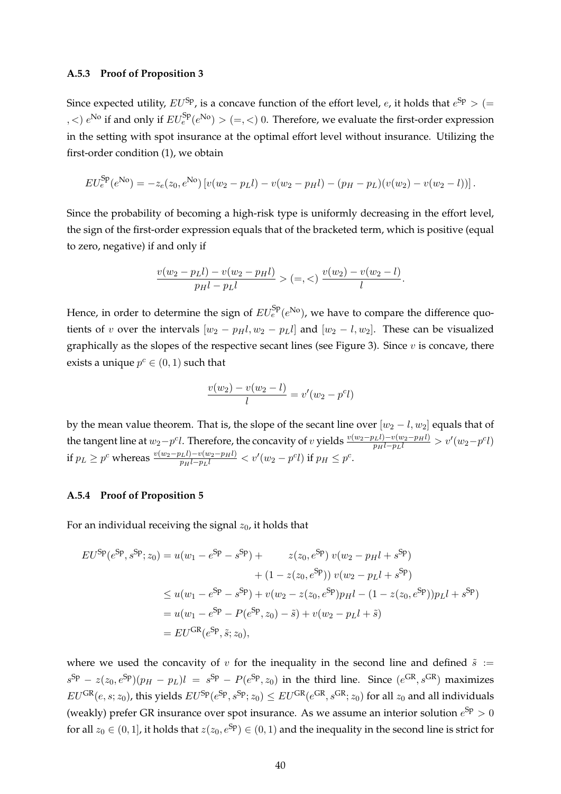## <span id="page-40-0"></span>**A.5.3 Proof of Proposition [3](#page-12-0)**

Since expected utility,  $EU^{\text{Sp}}$ , is a concave function of the effort level, e, it holds that  $e^{\text{Sp}} > (=$ ,  $\langle \rangle$  e<sup>No</sup> if and only if  $EU_e^{Sp}(e^{No}) > (=,\le)$  0. Therefore, we evaluate the first-order expression in the setting with spot insurance at the optimal effort level without insurance. Utilizing the first-order condition [\(1\)](#page-8-0), we obtain

$$
EU_e^{\text{Sp}}(e^{\text{No}}) = -z_e(z_0, e^{\text{No}}) \left[ v(w_2 - p_Ll) - v(w_2 - p_Hl) - (p_H - p_L)(v(w_2) - v(w_2 - l)) \right].
$$

Since the probability of becoming a high-risk type is uniformly decreasing in the effort level, the sign of the first-order expression equals that of the bracketed term, which is positive (equal to zero, negative) if and only if

$$
\frac{v(w_2 - p_Ll) - v(w_2 - p_Hl)}{p_Hl - p_Ll} > (=, <) \frac{v(w_2) - v(w_2 - l)}{l}.
$$

Hence, in order to determine the sign of  $EU^{\rm Sp}_e(e^{\rm No})$ , we have to compare the difference quotients of v over the intervals  $[w_2 - p_Hl, w_2 - p_Ll]$  and  $[w_2 - l, w_2]$ . These can be visualized graphically as the slopes of the respective secant lines (see Figure [3\)](#page-13-0). Since  $v$  is concave, there exists a unique  $p^c \in (0,1)$  such that

$$
\frac{v(w_2) - v(w_2 - l)}{l} = v'(w_2 - p^c l)
$$

by the mean value theorem. That is, the slope of the secant line over  $[w_2 - l, w_2]$  equals that of the tangent line at  $w_2-p^cl$ . Therefore, the concavity of v yields  $\frac{v(w_2-p_Ll)-v(w_2-p_Hl)}{p_Hl-p_Ll} > v'(w_2-p^cl)$ if  $p_L \ge p^c$  whereas  $\frac{v(w_2 - p_Ll) - v(w_2 - p_Hl)}{p_Hl - p_Ll} < v'(w_2 - p^c l)$  if  $p_H ≤ p^c$ .

# <span id="page-40-1"></span>**A.5.4 Proof of Proposition [5](#page-18-1)**

For an individual receiving the signal  $z_0$ , it holds that

$$
EU^{Sp}(e^{Sp}, s^{Sp}; z_0) = u(w_1 - e^{Sp} - s^{Sp}) + z(z_0, e^{Sp}) v(w_2 - p_H l + s^{Sp})
$$
  
+  $(1 - z(z_0, e^{Sp})) v(w_2 - p_L l + s^{Sp})$   
 $\leq u(w_1 - e^{Sp} - s^{Sp}) + v(w_2 - z(z_0, e^{Sp})p_H l - (1 - z(z_0, e^{Sp}))p_L l + s^{Sp})$   
=  $u(w_1 - e^{Sp} - P(e^{Sp}, z_0) - \tilde{s}) + v(w_2 - p_L l + \tilde{s})$   
=  $EU^{GR}(e^{Sp}, \tilde{s}; z_0),$ 

where we used the concavity of v for the inequality in the second line and defined  $\tilde{s}$  :=  $s^{\text{Sp}} - z(z_0, e^{\text{Sp}})(p_H - p_L)l = s^{\text{Sp}} - P(e^{\text{Sp}}, z_0)$  in the third line. Since  $(e^{\text{GR}}, s^{\text{GR}})$  maximizes  $EU^{GR}(e, s; z_0)$ , this yields  $EU^{Sp}(e^{Sp}, s^{Sp}; z_0) \leq EU^{GR}(e^{GR}, s^{GR}; z_0)$  for all  $z_0$  and all individuals (weakly) prefer GR insurance over spot insurance. As we assume an interior solution  $e^{Sp} > 0$ for all  $z_0 \in (0, 1]$ , it holds that  $z(z_0, e^{Sp}) \in (0, 1)$  and the inequality in the second line is strict for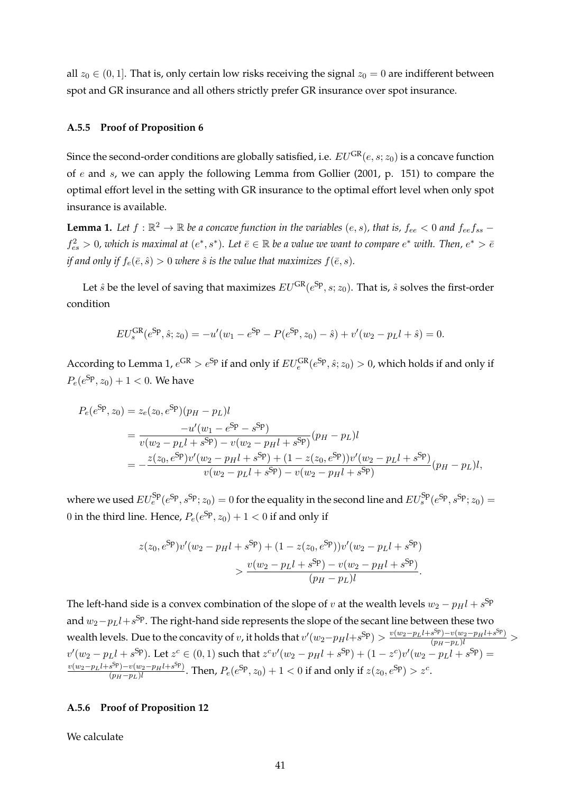all  $z_0 \in (0, 1]$ . That is, only certain low risks receiving the signal  $z_0 = 0$  are indifferent between spot and GR insurance and all others strictly prefer GR insurance over spot insurance.

## <span id="page-41-0"></span>**A.5.5 Proof of Proposition [6](#page-19-0)**

Since the second-order conditions are globally satisfied, i.e.  $EU^{GR}(e, s; z_0)$  is a concave function of e and s, we can apply the following Lemma from [Gollier](#page-44-24) [\(2001,](#page-44-24) p. 151) to compare the optimal effort level in the setting with GR insurance to the optimal effort level when only spot insurance is available.

<span id="page-41-2"></span>**Lemma 1.** Let  $f : \mathbb{R}^2 \to \mathbb{R}$  be a concave function in the variables  $(e, s)$ , that is,  $f_{ee} < 0$  and  $f_{ee}f_{ss}$  $f_{es}^2 > 0$ , which is maximal at  $(e^*, s^*)$ . Let  $\bar{e} \in \mathbb{R}$  be a value we want to compare  $e^*$  with. Then,  $e^* > \bar{e}$ *if and only if*  $f_e(\bar{e}, \hat{s}) > 0$  *where*  $\hat{s}$  *is the value that maximizes*  $f(\bar{e}, s)$ *.* 

Let  $\hat{s}$  be the level of saving that maximizes  $EU^\text{GR}(e^\text{Sp},s;z_0)$ . That is,  $\hat{s}$  solves the first-order condition

$$
EU_s^{\text{GR}}(e^{\text{Sp}}, \hat{s}; z_0) = -u'(w_1 - e^{\text{Sp}} - P(e^{\text{Sp}}, z_0) - \hat{s}) + v'(w_2 - p_L l + \hat{s}) = 0.
$$

According to Lemma [1,](#page-41-2)  $e^{GR} > e^{Sp}$  if and only if  $EU_e^{GR}(e^{Sp}, \hat{s}; z_0) > 0$ , which holds if and only if  $P_e(e^{\text{Sp}}, z_0) + 1 < 0$ . We have

$$
P_e(e^{Sp}, z_0) = z_e(z_0, e^{Sp})(p_H - p_L)l
$$
  
= 
$$
\frac{-u'(w_1 - e^{Sp} - s^{Sp})}{v(w_2 - p_Ll + s^{Sp}) - v(w_2 - p_Hl + s^{Sp})}(p_H - p_L)l
$$
  
= 
$$
-\frac{z(z_0, e^{Sp})v'(w_2 - p_Hl + s^{Sp}) + (1 - z(z_0, e^{Sp}))v'(w_2 - p_Ll + s^{Sp})}{v(w_2 - p_Ll + s^{Sp}) - v(w_2 - p_Hl + s^{Sp})}
$$
 $(p_H - p_L)l$ ,

where we used  $EU_e^{Sp}(e^{Sp}, s^{Sp}; z_0) = 0$  for the equality in the second line and  $EU_s^{Sp}(e^{Sp}, s^{Sp}; z_0) = 0$ 0 in the third line. Hence,  $P_e(e^{Sp}, z_0) + 1 < 0$  if and only if

$$
z(z_0, e^{\text{Sp}})v'(w_2 - p_H l + s^{\text{Sp}}) + (1 - z(z_0, e^{\text{Sp}}))v'(w_2 - p_L l + s^{\text{Sp}})
$$
  

$$
> \frac{v(w_2 - p_L l + s^{\text{Sp}}) - v(w_2 - p_H l + s^{\text{Sp}})}{(p_H - p_L)l}.
$$

The left-hand side is a convex combination of the slope of v at the wealth levels  $w_2 - p_H l + s^{\text{Sp}}$ and  $w_2-p_Ll+s^{\text{Sp}}.$  The right-hand side represents the slope of the secant line between these two wealth levels. Due to the concavity of v, it holds that  $v'(w_2-p_Hl+s^{Sp})>\frac{v(w_2-p_Ll+s^{Sp})-v(w_2-p_Hl+s^{Sp})}{(p_H-p_L)l}>$  $v'(w_2 - p_Ll + s^{Sp})$ . Let  $z^c \in (0, 1)$  such that  $z^cv'(w_2 - p_Hl + s^{Sp}) + (1 - z^c)v'(w_2 - p_Ll + s^{Sp}) =$  $v(w_2-p_Ll+s^{Sp})-v(w_2-p_Hl+s^{Sp})$  $\frac{(s^{sp})-v(w_2-p_Hl+s^{sp})}{(p_H-p_L)l}$ . Then,  $P_e(e^{Sp},z_0)+1<0$  if and only if  $z(z_0,e^{Sp})>z^c$ .

# <span id="page-41-1"></span>**A.5.6 Proof of Proposition [12](#page-27-0)**

We calculate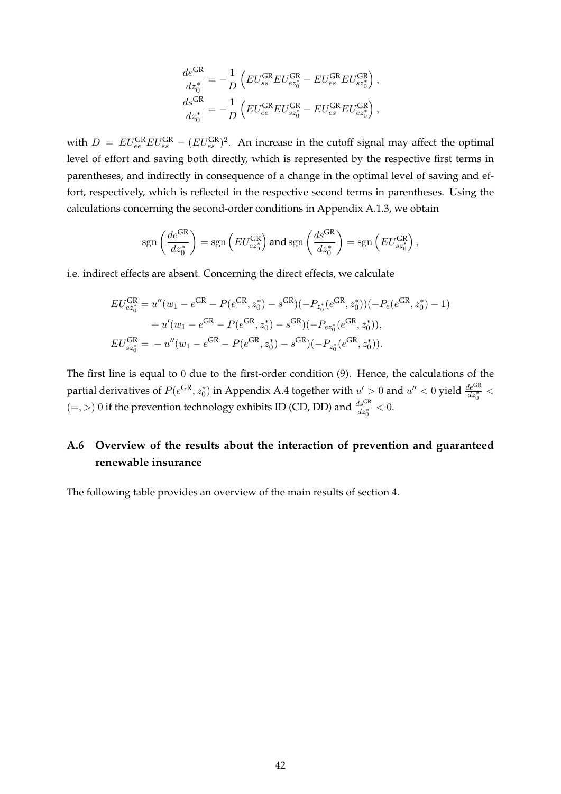$$
\frac{de^{GR}}{dz_0^*} = -\frac{1}{D} \left( EU_{ss}^{GR} EU_{ez_0^*}^{GR} - EU_{es}^{GR} EU_{sz_0^*}^{GR} \right),
$$
  

$$
\frac{ds^{GR}}{dz_0^*} = -\frac{1}{D} \left( EU_{ee}^{GR} EU_{sz_0^*}^{GR} - EU_{es}^{GR} EU_{ez_0^*}^{GR} \right),
$$

with  $D = EU_{ee}^{GR} EU_{ss}^{GR} - (EU_{es}^{GR})^2$ . An increase in the cutoff signal may affect the optimal level of effort and saving both directly, which is represented by the respective first terms in parentheses, and indirectly in consequence of a change in the optimal level of saving and effort, respectively, which is reflected in the respective second terms in parentheses. Using the calculations concerning the second-order conditions in Appendix [A.1.3,](#page-36-2) we obtain

$$
\text{sgn}\left(\frac{de^{\text{GR}}}{dz_0^*}\right) = \text{sgn}\left(EU_{ez_0^*}^{\text{GR}}\right) \text{ and } \text{sgn}\left(\frac{ds^{\text{GR}}}{dz_0^*}\right) = \text{sgn}\left(EU_{sz_0^*}^{\text{GR}}\right),
$$

i.e. indirect effects are absent. Concerning the direct effects, we calculate

$$
EU_{ez_0^*}^{GR} = u''(w_1 - e^{GR} - P(e^{GR}, z_0^*) - s^{GR})(-P_{z_0^*}(e^{GR}, z_0^*))(-P_e(e^{GR}, z_0^*) - 1)
$$
  
+ 
$$
u'(w_1 - e^{GR} - P(e^{GR}, z_0^*) - s^{GR})(-P_{ez_0^*}(e^{GR}, z_0^*)),
$$
  

$$
EU_{zz_0^*}^{GR} = -u''(w_1 - e^{GR} - P(e^{GR}, z_0^*) - s^{GR})(-P_{z_0^*}(e^{GR}, z_0^*)).
$$

The first line is equal to 0 due to the first-order condition [\(9\)](#page-16-0). Hence, the calculations of the partial derivatives of  $P(e^{GR}, z_0^*)$  in Appendix [A.4](#page-38-1) together with  $u' > 0$  and  $u'' < 0$  yield  $\frac{de^{GR}}{dz_0^*} <$  $(=, >)$  0 if the prevention technology exhibits ID (CD, DD) and  $\frac{ds^{GR}}{dz_0^*} < 0$ .

# <span id="page-42-0"></span>**A.6 Overview of the results about the interaction of prevention and guaranteed renewable insurance**

The following table provides an overview of the main results of section [4.](#page-15-0)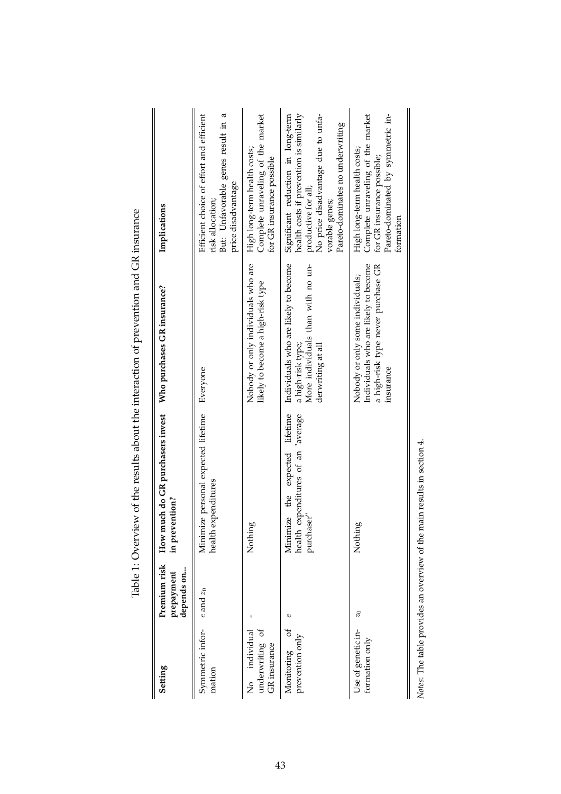| Setting                                                 | Premium risk<br>depends on<br>prepayment | How much do GR purchasers invest<br>in prevention?                                            | Who purchases GR insurance?                                                                                                 | Implications                                                                                                                                                                                     |
|---------------------------------------------------------|------------------------------------------|-----------------------------------------------------------------------------------------------|-----------------------------------------------------------------------------------------------------------------------------|--------------------------------------------------------------------------------------------------------------------------------------------------------------------------------------------------|
| Symmetric infor-<br>mation                              | $e$ and $z_0$                            | Minimize personal expected lifetime<br>expenditures<br>health                                 | Everyone                                                                                                                    | Efficient choice of effort and efficient<br>But: Unfavorable genes result in a<br>price disadvantage<br>risk allocation;                                                                         |
| underwriting of<br>individual<br>GR insurance<br>,<br>2 |                                          | ōо<br>Nothin                                                                                  | Nobody or only individuals who are<br>likely to become a high-risk type                                                     | Complete unraveling of the market<br>High long-term health costs;<br>for GR insurance possible                                                                                                   |
| đ<br>prevention only<br>Monitoring                      | Ò                                        | expected lifetime<br>health expenditures of an "average<br>the<br>Minimize<br>iser"<br>purcha | Individuals who are likely to become<br>More individuals than with no un-<br>a high-risk type;<br>derwriting at all         | health costs if prevention is similarly<br>No price disadvantage due to unfa-<br>Significant reduction in long-term<br>Pareto-dominates no underwriting<br>productive for all;<br>vorable genes; |
| Use of genetic in-<br>formation only                    | $\approx 0$                              | ğρ<br>Nothin                                                                                  | Individuals who are likely to become<br>a high-risk type never purchase GR<br>Nobody or only some individuals;<br>insurance | Complete unraveling of the market<br>Pareto-dominated by symmetric in-<br>High long-term health costs;<br>for GR insurance possible;<br>formation                                                |
|                                                         |                                          | Notes: The table provides an overview of the main results in section 4.                       |                                                                                                                             |                                                                                                                                                                                                  |

Table 1: Overview of the results about the interaction of prevention and GR insurance Table 1: Overview of the results about the interaction of prevention and GR insurance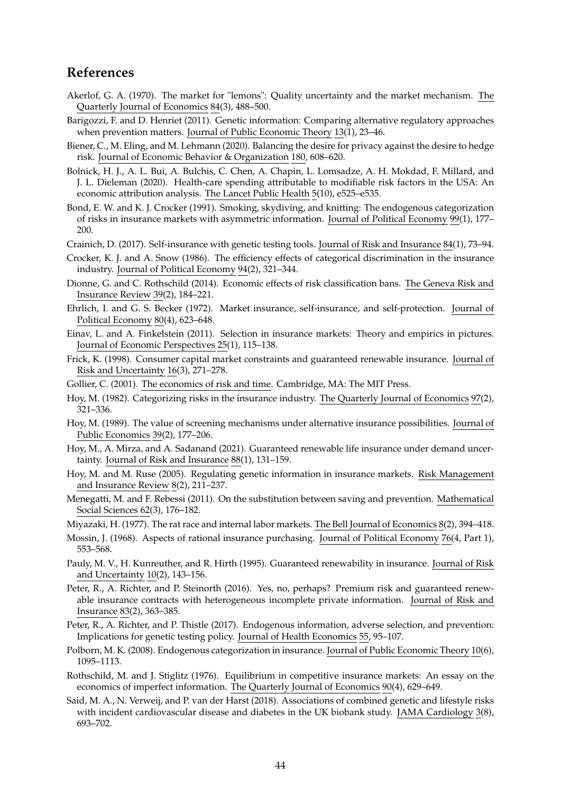# **References**

- <span id="page-44-14"></span>Akerlof, G. A. (1970). The market for "lemons": Quality uncertainty and the market mechanism. The Quarterly Journal of Economics 84(3), 488–500.
- <span id="page-44-9"></span>Barigozzi, F. and D. Henriet (2011). Genetic information: Comparing alternative regulatory approaches when prevention matters. Journal of Public Economic Theory 13(1), 23–46.
- <span id="page-44-23"></span>Biener, C., M. Eling, and M. Lehmann (2020). Balancing the desire for privacy against the desire to hedge risk. Journal of Economic Behavior & Organization 180, 608–620.
- <span id="page-44-0"></span>Bolnick, H. J., A. L. Bui, A. Bulchis, C. Chen, A. Chapin, L. Lomsadze, A. H. Mokdad, F. Millard, and J. L. Dieleman (2020). Health-care spending attributable to modifiable risk factors in the USA: An economic attribution analysis. The Lancet Public Health 5(10), e525–e535.
- <span id="page-44-12"></span>Bond, E. W. and K. J. Crocker (1991). Smoking, skydiving, and knitting: The endogenous categorization of risks in insurance markets with asymmetric information. Journal of Political Economy 99(1), 177– 200.
- <span id="page-44-10"></span>Crainich, D. (2017). Self-insurance with genetic testing tools. Journal of Risk and Insurance 84(1), 73–94.
- <span id="page-44-7"></span>Crocker, K. J. and A. Snow (1986). The efficiency effects of categorical discrimination in the insurance industry. Journal of Political Economy 94(2), 321–344.
- <span id="page-44-17"></span>Dionne, G. and C. Rothschild (2014). Economic effects of risk classification bans. The Geneva Risk and Insurance Review 39(2), 184–221.
- <span id="page-44-1"></span>Ehrlich, I. and G. S. Becker (1972). Market insurance, self-insurance, and self-protection. Journal of Political Economy 80(4), 623–648.
- <span id="page-44-19"></span>Einav, L. and A. Finkelstein (2011). Selection in insurance markets: Theory and empirics in pictures. Journal of Economic Perspectives 25(1), 115–138.
- <span id="page-44-3"></span>Frick, K. (1998). Consumer capital market constraints and guaranteed renewable insurance. Journal of Risk and Uncertainty 16(3), 271–278.
- <span id="page-44-24"></span>Gollier, C. (2001). The economics of risk and time. Cambridge, MA: The MIT Press.
- <span id="page-44-6"></span>Hoy, M. (1982). Categorizing risks in the insurance industry. The Quarterly Journal of Economics 97(2), 321–336.
- <span id="page-44-20"></span>Hoy, M. (1989). The value of screening mechanisms under alternative insurance possibilities. Journal of Public Economics 39(2), 177–206.
- <span id="page-44-5"></span>Hoy, M., A. Mirza, and A. Sadanand (2021). Guaranteed renewable life insurance under demand uncertainty. Journal of Risk and Insurance 88(1), 131–159.
- <span id="page-44-8"></span>Hoy, M. and M. Ruse (2005). Regulating genetic information in insurance markets. Risk Management and Insurance Review 8(2), 211–237.
- <span id="page-44-22"></span>Menegatti, M. and F. Rebessi (2011). On the substitution between saving and prevention. Mathematical Social Sciences 62(3), 176–182.
- <span id="page-44-16"></span>Miyazaki, H. (1977). The rat race and internal labor markets. The Bell Journal of Economics 8(2), 394–418.
- <span id="page-44-18"></span>Mossin, J. (1968). Aspects of rational insurance purchasing. Journal of Political Economy 76(4, Part 1), 553–568.
- <span id="page-44-2"></span>Pauly, M. V., H. Kunreuther, and R. Hirth (1995). Guaranteed renewability in insurance. Journal of Risk and Uncertainty 10(2), 143–156.
- <span id="page-44-4"></span>Peter, R., A. Richter, and P. Steinorth (2016). Yes, no, perhaps? Premium risk and guaranteed renewable insurance contracts with heterogeneous incomplete private information. Journal of Risk and Insurance 83(2), 363–385.
- <span id="page-44-11"></span>Peter, R., A. Richter, and P. Thistle (2017). Endogenous information, adverse selection, and prevention: Implications for genetic testing policy. Journal of Health Economics 55, 95–107.
- <span id="page-44-13"></span>Polborn, M. K. (2008). Endogenous categorization in insurance. Journal of Public Economic Theory 10(6), 1095–1113.
- <span id="page-44-15"></span>Rothschild, M. and J. Stiglitz (1976). Equilibrium in competitive insurance markets: An essay on the economics of imperfect information. The Quarterly Journal of Economics 90(4), 629–649.
- <span id="page-44-21"></span>Said, M. A., N. Verweij, and P. van der Harst (2018). Associations of combined genetic and lifestyle risks with incident cardiovascular disease and diabetes in the UK biobank study. JAMA Cardiology 3(8), 693–702.